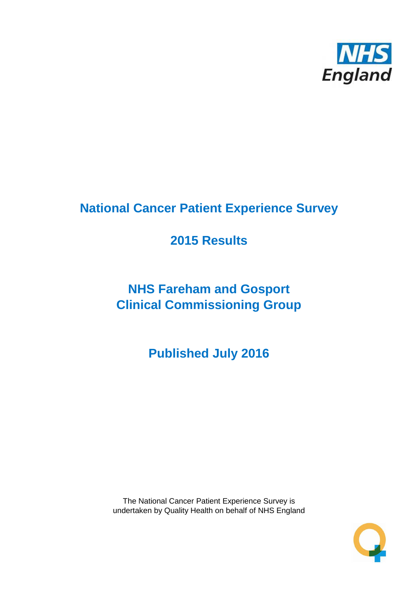

# **National Cancer Patient Experience Survey**

# **2015 Results**

# **NHS Fareham and Gosport Clinical Commissioning Group**

**Published July 2016**

The National Cancer Patient Experience Survey is undertaken by Quality Health on behalf of NHS England

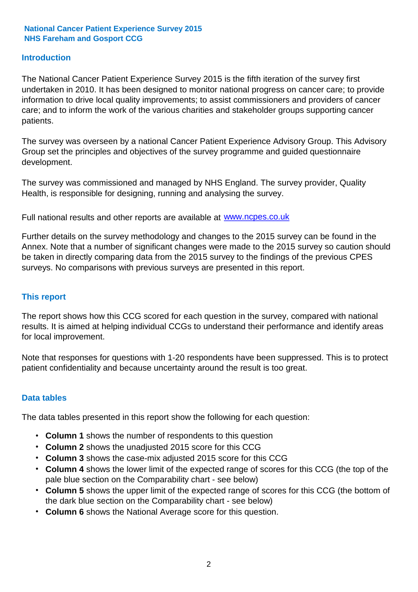### **Introduction**

The National Cancer Patient Experience Survey 2015 is the fifth iteration of the survey first undertaken in 2010. It has been designed to monitor national progress on cancer care; to provide information to drive local quality improvements; to assist commissioners and providers of cancer care; and to inform the work of the various charities and stakeholder groups supporting cancer patients.

The survey was overseen by a national Cancer Patient Experience Advisory Group. This Advisory Group set the principles and objectives of the survey programme and guided questionnaire development.

The survey was commissioned and managed by NHS England. The survey provider, Quality Health, is responsible for designing, running and analysing the survey.

Full national results and other reports are available at www.ncpes.co.uk

Further details on the survey methodology and changes to the 2015 survey can be found in the Annex. Note that a number of significant changes were made to the 2015 survey so caution should be taken in directly comparing data from the 2015 survey to the findings of the previous CPES surveys. No comparisons with previous surveys are presented in this report.

#### **This report**

The report shows how this CCG scored for each question in the survey, compared with national results. It is aimed at helping individual CCGs to understand their performance and identify areas for local improvement.

Note that responses for questions with 1-20 respondents have been suppressed. This is to protect patient confidentiality and because uncertainty around the result is too great.

#### **Data tables**

The data tables presented in this report show the following for each question:

- **Column 1** shows the number of respondents to this question
- **Column 2** shows the unadjusted 2015 score for this CCG
- **Column 3** shows the case-mix adjusted 2015 score for this CCG
- **Column 4** shows the lower limit of the expected range of scores for this CCG (the top of the pale blue section on the Comparability chart - see below)
- **Column 5** shows the upper limit of the expected range of scores for this CCG (the bottom of the dark blue section on the Comparability chart - see below)
- **Column 6** shows the National Average score for this question.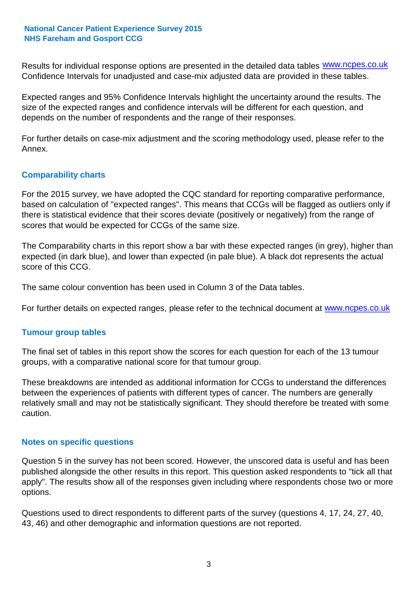Results for individual response options are presented in the detailed data tables **WWW.ncpes.co.uk** Confidence Intervals for unadjusted and case-mix adjusted data are provided in these tables.

Expected ranges and 95% Confidence Intervals highlight the uncertainty around the results. The size of the expected ranges and confidence intervals will be different for each question, and depends on the number of respondents and the range of their responses.

For further details on case-mix adjustment and the scoring methodology used, please refer to the Annex.

### **Comparability charts**

For the 2015 survey, we have adopted the CQC standard for reporting comparative performance, based on calculation of "expected ranges". This means that CCGs will be flagged as outliers only if there is statistical evidence that their scores deviate (positively or negatively) from the range of scores that would be expected for CCGs of the same size.

The Comparability charts in this report show a bar with these expected ranges (in grey), higher than expected (in dark blue), and lower than expected (in pale blue). A black dot represents the actual score of this CCG.

The same colour convention has been used in Column 3 of the Data tables.

For further details on expected ranges, please refer to the technical document at **www.ncpes.co.uk** 

#### **Tumour group tables**

The final set of tables in this report show the scores for each question for each of the 13 tumour groups, with a comparative national score for that tumour group.

These breakdowns are intended as additional information for CCGs to understand the differences between the experiences of patients with different types of cancer. The numbers are generally relatively small and may not be statistically significant. They should therefore be treated with some caution.

#### **Notes on specific questions**

Question 5 in the survey has not been scored. However, the unscored data is useful and has been published alongside the other results in this report. This question asked respondents to "tick all that apply". The results show all of the responses given including where respondents chose two or more options.

Questions used to direct respondents to different parts of the survey (questions 4, 17, 24, 27, 40, 43, 46) and other demographic and information questions are not reported.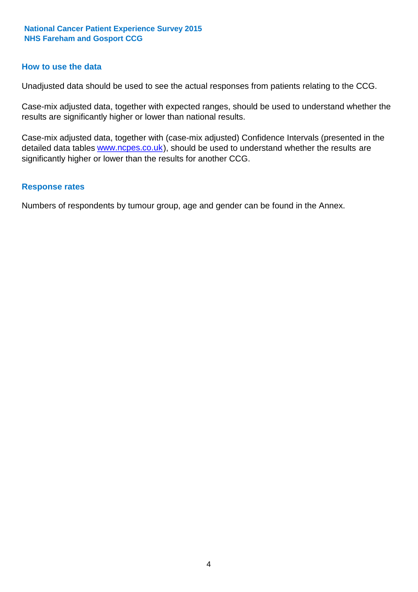#### **How to use the data**

Unadjusted data should be used to see the actual responses from patients relating to the CCG.

Case-mix adjusted data, together with expected ranges, should be used to understand whether the results are significantly higher or lower than national results.

Case-mix adjusted data, together with (case-mix adjusted) Confidence Intervals (presented in the detailed data tables **www.ncpes.co.uk**), should be used to understand whether the results are significantly higher or lower than the results for another CCG.

#### **Response rates**

Numbers of respondents by tumour group, age and gender can be found in the Annex.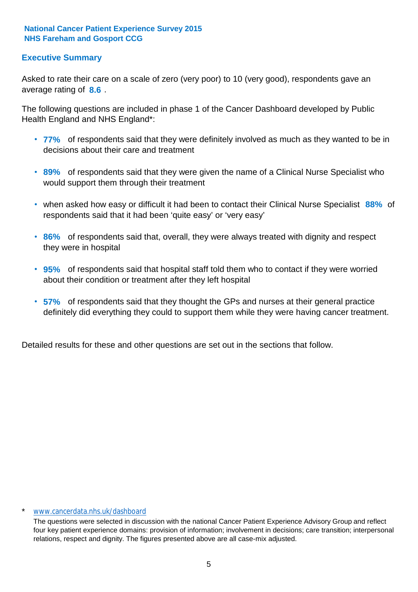### **Executive Summary**

average rating of 8.6. Asked to rate their care on a scale of zero (very poor) to 10 (very good), respondents gave an

The following questions are included in phase 1 of the Cancer Dashboard developed by Public Health England and NHS England\*:

- **77%** of respondents said that they were definitely involved as much as they wanted to be in decisions about their care and treatment
- **89%** of respondents said that they were given the name of a Clinical Nurse Specialist who would support them through their treatment
- when asked how easy or difficult it had been to contact their Clinical Nurse Specialist 88% of respondents said that it had been 'quite easy' or 'very easy'
- **86%** of respondents said that, overall, they were always treated with dignity and respect they were in hospital
- **95%** of respondents said that hospital staff told them who to contact if they were worried about their condition or treatment after they left hospital
- **57%** of respondents said that they thought the GPs and nurses at their general practice definitely did everything they could to support them while they were having cancer treatment.

Detailed results for these and other questions are set out in the sections that follow.

#### \* www.cancerdata.nhs.uk/dashboard

The questions were selected in discussion with the national Cancer Patient Experience Advisory Group and reflect four key patient experience domains: provision of information; involvement in decisions; care transition; interpersonal relations, respect and dignity. The figures presented above are all case-mix adjusted.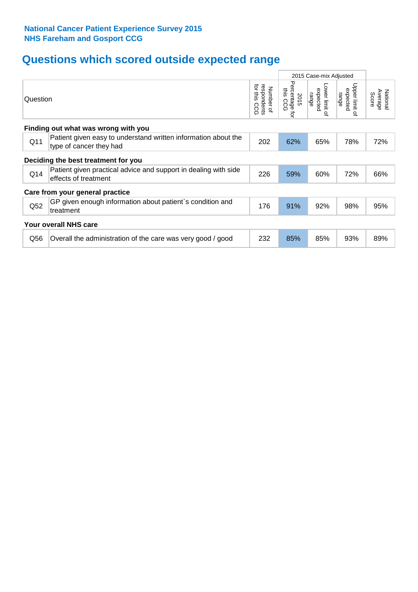# **Questions which scored outside expected range**

|                 |                                                                                           | 2015 Case-mix Adjusted                      |                                     |                                     |                                              |                              |  |  |  |
|-----------------|-------------------------------------------------------------------------------------------|---------------------------------------------|-------------------------------------|-------------------------------------|----------------------------------------------|------------------------------|--|--|--|
| Question        |                                                                                           | for this<br>respondents<br>Number of<br>CCG | Percentage<br>this CCG<br>2015<br>ą | Lower limit of<br>expected<br>range | Upper limit<br>expected<br>range<br>$\Omega$ | National<br>Average<br>Score |  |  |  |
|                 | Finding out what was wrong with you                                                       |                                             |                                     |                                     |                                              |                              |  |  |  |
| Q11             | Patient given easy to understand written information about the<br>type of cancer they had | 202                                         | 62%                                 | 65%                                 | 78%                                          | 72%                          |  |  |  |
|                 | Deciding the best treatment for you                                                       |                                             |                                     |                                     |                                              |                              |  |  |  |
| Q14             | Patient given practical advice and support in dealing with side<br>effects of treatment   | 226                                         | 59%                                 | 60%                                 | 72%                                          | 66%                          |  |  |  |
|                 | Care from your general practice                                                           |                                             |                                     |                                     |                                              |                              |  |  |  |
| Q <sub>52</sub> | GP given enough information about patient's condition and<br>treatment                    | 176                                         | 91%                                 | 92%                                 | 98%                                          | 95%                          |  |  |  |
|                 | Your overall NHS care                                                                     |                                             |                                     |                                     |                                              |                              |  |  |  |
| Q56             | Overall the administration of the care was very good / good                               | 232                                         | 85%                                 | 85%                                 | 93%                                          | 89%                          |  |  |  |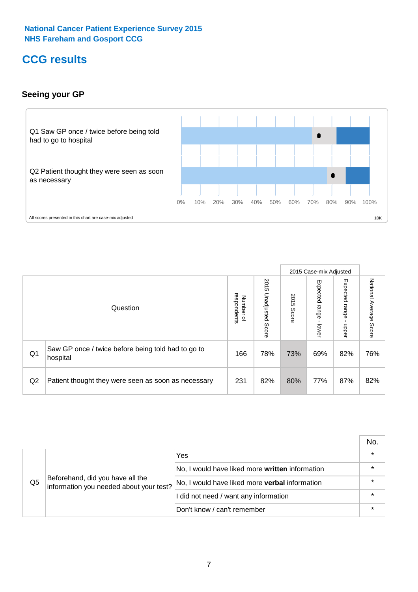# **CCG results**

# **Seeing your GP**



|    |                                                                |                                         |                             |               | 2015 Case-mix Adjusted     |                            |                           |
|----|----------------------------------------------------------------|-----------------------------------------|-----------------------------|---------------|----------------------------|----------------------------|---------------------------|
|    | Question                                                       | respondents<br>Number<br>$\overline{a}$ | 2015<br>Unadjusted<br>Score | 2015<br>Score | Expected<br>range<br>lower | Expected<br>range<br>dpper | National Average<br>Score |
| Q1 | Saw GP once / twice before being told had to go to<br>hospital | 166                                     | 78%                         | 73%           | 69%                        | 82%                        | 76%                       |
| Q2 | Patient thought they were seen as soon as necessary            | 231                                     | 82%                         | 80%           | 77%                        | 87%                        | 82%                       |

|    |                                                                             |                                                 | No.     |
|----|-----------------------------------------------------------------------------|-------------------------------------------------|---------|
|    | Beforehand, did you have all the<br>information you needed about your test? | Yes                                             | $\star$ |
|    |                                                                             | No, I would have liked more written information | $\star$ |
| Q5 |                                                                             | No, I would have liked more verbal information  | $\star$ |
|    |                                                                             | I did not need / want any information           | $\star$ |
|    |                                                                             | Don't know / can't remember                     | $\star$ |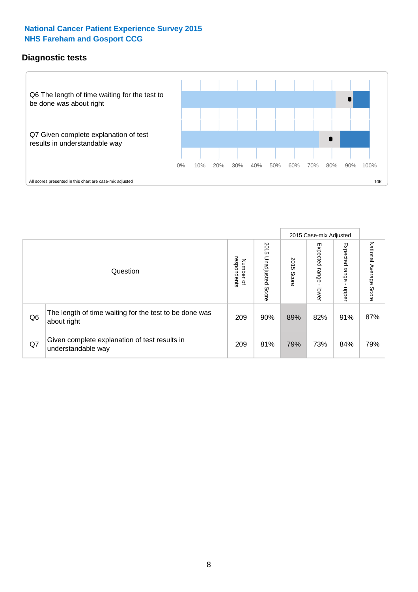### **Diagnostic tests**



|                |                                                                       |                                       |                             |               | 2015 Case-mix Adjusted  |                         |                           |
|----------------|-----------------------------------------------------------------------|---------------------------------------|-----------------------------|---------------|-------------------------|-------------------------|---------------------------|
|                | Question                                                              | respondents<br>Number<br>$\mathbf{Q}$ | 2015<br>Unadjusted<br>Score | 2015<br>Score | Expected range<br>lower | Expected range<br>nbber | National Average<br>Score |
| Q <sub>6</sub> | The length of time waiting for the test to be done was<br>about right | 209                                   | 90%                         | 89%           | 82%                     | 91%                     | 87%                       |
| Q7             | Given complete explanation of test results in<br>understandable way   | 209                                   | 81%                         | 79%           | 73%                     | 84%                     | 79%                       |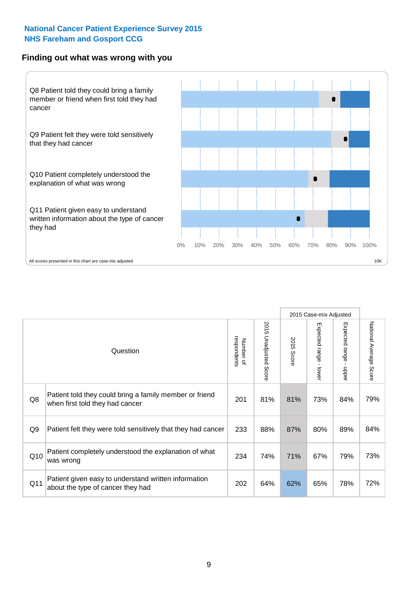#### **Finding out what was wrong with you**



|     |                                                                                            |                          |                       |               | 2015 Case-mix Adjusted    |                                           |                           |
|-----|--------------------------------------------------------------------------------------------|--------------------------|-----------------------|---------------|---------------------------|-------------------------------------------|---------------------------|
|     | Question                                                                                   | respondents<br>Number of | 2015 Unadjusted Score | 2015<br>Score | Expected<br>range - lower | Expected range<br>$\blacksquare$<br>nbber | National Average<br>Score |
| Q8  | Patient told they could bring a family member or friend<br>when first told they had cancer | 201                      | 81%                   | 81%           | 73%                       | 84%                                       | 79%                       |
| Q9  | Patient felt they were told sensitively that they had cancer                               | 233                      | 88%                   | 87%           | 80%                       | 89%                                       | 84%                       |
| Q10 | Patient completely understood the explanation of what<br>was wrong                         | 234                      | 74%                   | 71%           | 67%                       | 79%                                       | 73%                       |
| Q11 | Patient given easy to understand written information<br>about the type of cancer they had  | 202                      | 64%                   | 62%           | 65%                       | 78%                                       | 72%                       |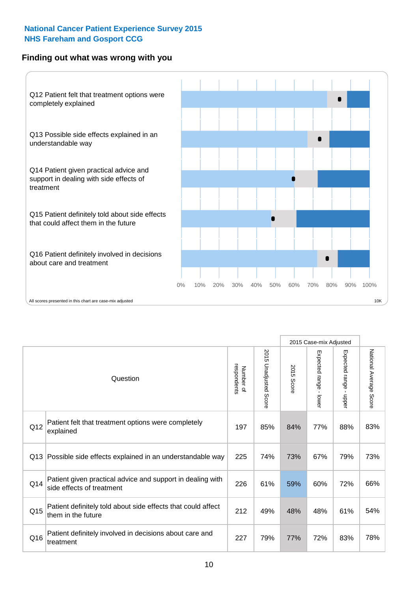### **Finding out what was wrong with you**



|     |                                                                                         |                          |                                 |               | 2015 Case-mix Adjusted                  |                           |                        |
|-----|-----------------------------------------------------------------------------------------|--------------------------|---------------------------------|---------------|-----------------------------------------|---------------------------|------------------------|
|     | Question                                                                                | respondents<br>Number of | 2015<br><b>Unadjusted Score</b> | 2015<br>Score | Expected range<br>$\mathbf{r}$<br>lower | Expected range<br>- nbbeu | National Average Score |
| Q12 | Patient felt that treatment options were completely<br>explained                        | 197                      | 85%                             | 84%           | 77%                                     | 88%                       | 83%                    |
| Q13 | Possible side effects explained in an understandable way                                | 225                      | 74%                             | 73%           | 67%                                     | 79%                       | 73%                    |
| Q14 | Patient given practical advice and support in dealing with<br>side effects of treatment | 226                      | 61%                             | 59%           | 60%                                     | 72%                       | 66%                    |
| Q15 | Patient definitely told about side effects that could affect<br>them in the future      | 212                      | 49%                             | 48%           | 48%                                     | 61%                       | 54%                    |
| Q16 | Patient definitely involved in decisions about care and<br>treatment                    | 227                      | 79%                             | 77%           | 72%                                     | 83%                       | 78%                    |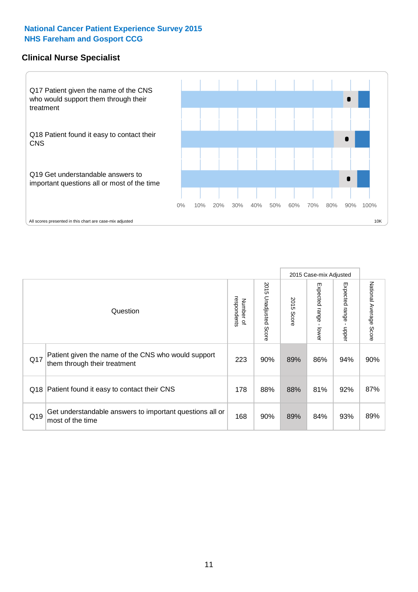### **Clinical Nurse Specialist**



|     |                                                                                     |                          |                       |               | 2015 Case-mix Adjusted  |                         |                                  |
|-----|-------------------------------------------------------------------------------------|--------------------------|-----------------------|---------------|-------------------------|-------------------------|----------------------------------|
|     | Question                                                                            | Number of<br>respondents | 2015 Unadjusted Score | 2015<br>Score | Expected range<br>lower | Expected range<br>nbber | National Average<br><b>Score</b> |
| Q17 | Patient given the name of the CNS who would support<br>them through their treatment | 223                      | 90%                   | 89%           | 86%                     | 94%                     | 90%                              |
| Q18 | Patient found it easy to contact their CNS                                          | 178                      | 88%                   | 88%           | 81%                     | 92%                     | 87%                              |
| Q19 | Get understandable answers to important questions all or<br>most of the time        | 168                      | 90%                   | 89%           | 84%                     | 93%                     | 89%                              |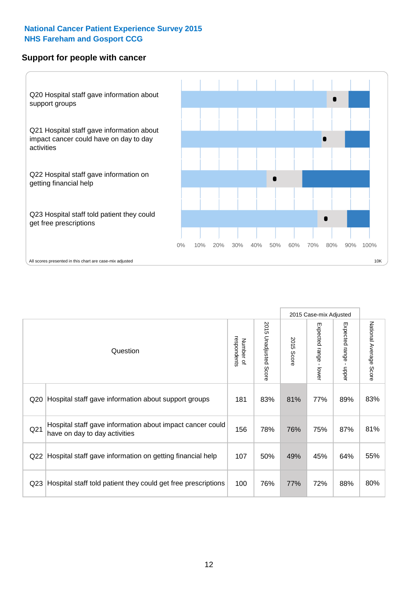#### **Support for people with cancer**



|                 |                                                                                            |                          |                                 |               | 2015 Case-mix Adjusted                  |                        |                        |
|-----------------|--------------------------------------------------------------------------------------------|--------------------------|---------------------------------|---------------|-----------------------------------------|------------------------|------------------------|
|                 | Question                                                                                   | respondents<br>Number of | 2015<br><b>Unadjusted Score</b> | 2015<br>Score | Expected range<br>$\mathbf{I}$<br>lower | Expected range - upper | National Average Score |
| Q20             | Hospital staff gave information about support groups                                       | 181                      | 83%                             | 81%           | 77%                                     | 89%                    | 83%                    |
| Q21             | Hospital staff gave information about impact cancer could<br>have on day to day activities | 156                      | 78%                             | 76%           | 75%                                     | 87%                    | 81%                    |
| Q22             | Hospital staff gave information on getting financial help                                  | 107                      | 50%                             | 49%           | 45%                                     | 64%                    | 55%                    |
| Q <sub>23</sub> | Hospital staff told patient they could get free prescriptions                              | 100                      | 76%                             | 77%           | 72%                                     | 88%                    | 80%                    |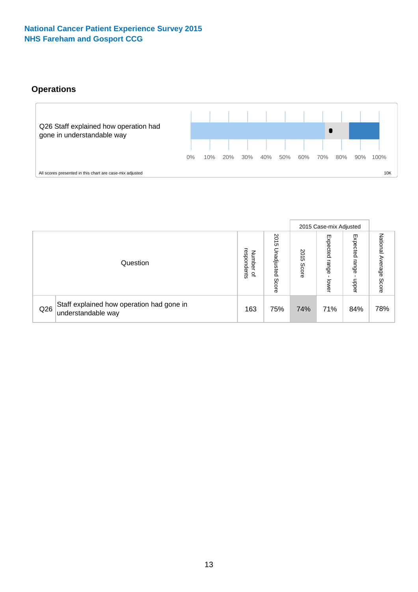# **Operations**



|     |                                                                 |                                         |                             |                    | 2015 Case-mix Adjusted     |                            |                              |
|-----|-----------------------------------------------------------------|-----------------------------------------|-----------------------------|--------------------|----------------------------|----------------------------|------------------------------|
|     | Question                                                        | respondents<br>Number<br>$\overline{a}$ | 2015<br>Unadjusted<br>Score | 201<br>CΠ<br>Score | Expected<br>range<br>lower | Expected<br>range<br>doper | National<br>Average<br>Score |
| Q26 | Staff explained how operation had gone in<br>understandable way | 163                                     | 75%                         | 74%                | 71%                        | 84%                        | 78%                          |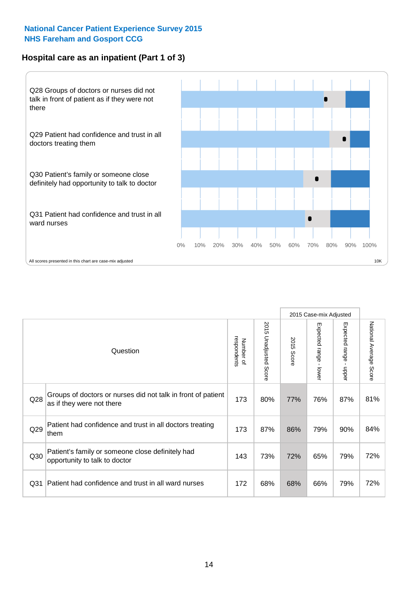# **Hospital care as an inpatient (Part 1 of 3)**



All scores presented in this chart are case-mix adjusted  $\sim$  10K

|                 |                                                                                           |                          |                                 |               | 2015 Case-mix Adjusted                    |                                           |                        |
|-----------------|-------------------------------------------------------------------------------------------|--------------------------|---------------------------------|---------------|-------------------------------------------|-------------------------------------------|------------------------|
|                 | Question                                                                                  | respondents<br>Number of | 2015<br><b>Unadjusted Score</b> | 2015<br>Score | Expected range<br>$\blacksquare$<br>lower | Expected range<br>$\blacksquare$<br>nbber | National Average Score |
| Q28             | Groups of doctors or nurses did not talk in front of patient<br>as if they were not there | 173                      | 80%                             | 77%           | 76%                                       | 87%                                       | 81%                    |
| Q29             | Patient had confidence and trust in all doctors treating<br>them                          | 173                      | 87%                             | 86%           | 79%                                       | 90%                                       | 84%                    |
| Q30             | Patient's family or someone close definitely had<br>opportunity to talk to doctor         | 143                      | 73%                             | 72%           | 65%                                       | 79%                                       | 72%                    |
| Q <sub>31</sub> | Patient had confidence and trust in all ward nurses                                       | 172                      | 68%                             | 68%           | 66%                                       | 79%                                       | 72%                    |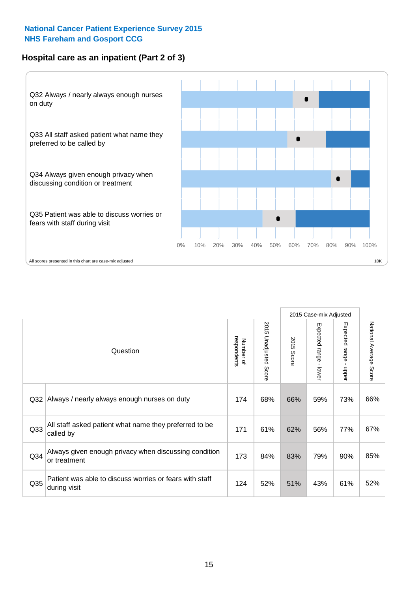# **Hospital care as an inpatient (Part 2 of 3)**



|                 |                                                                         |                          |                       |            | 2015 Case-mix Adjusted    |                                         |                           |
|-----------------|-------------------------------------------------------------------------|--------------------------|-----------------------|------------|---------------------------|-----------------------------------------|---------------------------|
|                 | Question                                                                | respondents<br>Number of | 2015 Unadjusted Score | 2015 Score | Expected range<br>- lower | Expected range<br>$\mathbf{I}$<br>nbber | National Average<br>Score |
| Q <sub>32</sub> | Always / nearly always enough nurses on duty                            | 174                      | 68%                   | 66%        | 59%                       | 73%                                     | 66%                       |
| Q <sub>33</sub> | All staff asked patient what name they preferred to be<br>called by     | 171                      | 61%                   | 62%        | 56%                       | 77%                                     | 67%                       |
| Q34             | Always given enough privacy when discussing condition<br>or treatment   | 173                      | 84%                   | 83%        | 79%                       | 90%                                     | 85%                       |
| Q35             | Patient was able to discuss worries or fears with staff<br>during visit | 124                      | 52%                   | 51%        | 43%                       | 61%                                     | 52%                       |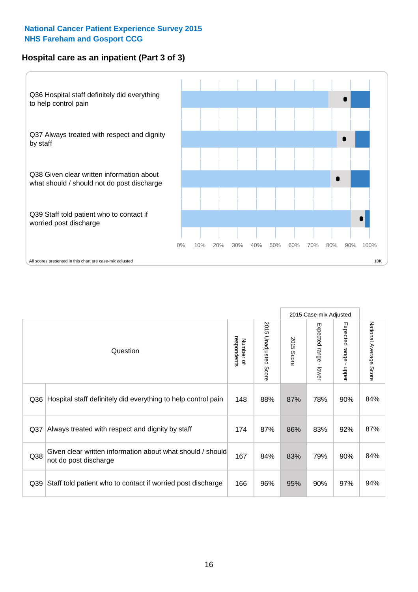# **Hospital care as an inpatient (Part 3 of 3)**



|                 |                                                                                     |                          |                             |               | 2015 Case-mix Adjusted                  |                           |                        |
|-----------------|-------------------------------------------------------------------------------------|--------------------------|-----------------------------|---------------|-----------------------------------------|---------------------------|------------------------|
|                 | Question                                                                            | Number of<br>respondents | 2015<br>Unadjusted<br>Score | 2015<br>Score | Expected range<br>$\mathbf{r}$<br>lower | Expected range -<br>nbber | National Average Score |
| Q36             | Hospital staff definitely did everything to help control pain                       | 148                      | 88%                         | 87%           | 78%                                     | 90%                       | 84%                    |
| Q <sub>37</sub> | Always treated with respect and dignity by staff                                    | 174                      | 87%                         | 86%           | 83%                                     | 92%                       | 87%                    |
| Q38             | Given clear written information about what should / should<br>not do post discharge | 167                      | 84%                         | 83%           | 79%                                     | 90%                       | 84%                    |
| Q39             | Staff told patient who to contact if worried post discharge                         | 166                      | 96%                         | 95%           | 90%                                     | 97%                       | 94%                    |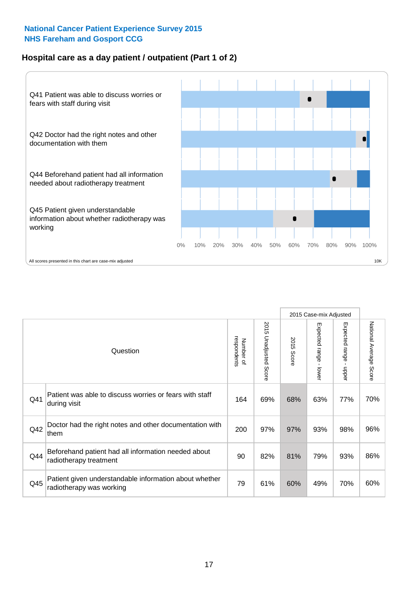# **Hospital care as a day patient / outpatient (Part 1 of 2)**



|     |                                                                                    |                          |                                      |               | 2015 Case-mix Adjusted                    |                                           |                        |
|-----|------------------------------------------------------------------------------------|--------------------------|--------------------------------------|---------------|-------------------------------------------|-------------------------------------------|------------------------|
|     | Question                                                                           | respondents<br>Number of | 201<br>C)<br><b>Unadjusted Score</b> | 2015<br>Score | Expected range<br>$\blacksquare$<br>lower | Expected range<br>$\blacksquare$<br>nbber | National Average Score |
| Q41 | Patient was able to discuss worries or fears with staff<br>during visit            | 164                      | 69%                                  | 68%           | 63%                                       | 77%                                       | 70%                    |
| Q42 | Doctor had the right notes and other documentation with<br>them                    | 200                      | 97%                                  | 97%           | 93%                                       | 98%                                       | 96%                    |
| Q44 | Beforehand patient had all information needed about<br>radiotherapy treatment      | 90                       | 82%                                  | 81%           | 79%                                       | 93%                                       | 86%                    |
| Q45 | Patient given understandable information about whether<br>radiotherapy was working | 79                       | 61%                                  | 60%           | 49%                                       | 70%                                       | 60%                    |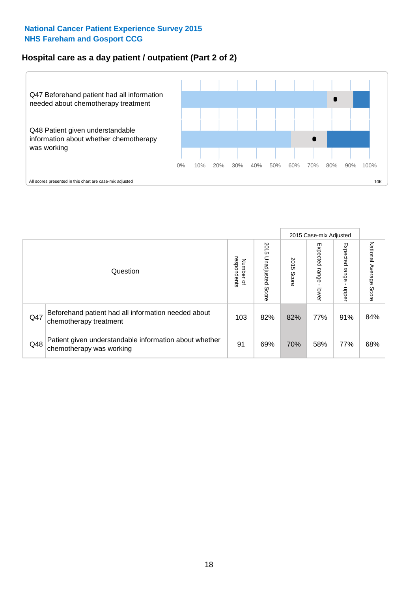# **Hospital care as a day patient / outpatient (Part 2 of 2)**



|     |                                                                                    |                                       |                             |               | 2015 Case-mix Adjusted      |                         |                           |
|-----|------------------------------------------------------------------------------------|---------------------------------------|-----------------------------|---------------|-----------------------------|-------------------------|---------------------------|
|     | Question                                                                           | respondents<br>Number<br>$\mathbf{Q}$ | 2015<br>Unadjusted<br>Score | 2015<br>Score | Expected<br>Irange<br>lower | Expected range<br>doper | National Average<br>Score |
| Q47 | Beforehand patient had all information needed about<br>chemotherapy treatment      | 103                                   | 82%                         | 82%           | 77%                         | 91%                     | 84%                       |
| Q48 | Patient given understandable information about whether<br>chemotherapy was working | 91                                    | 69%                         | 70%           | 58%                         | 77%                     | 68%                       |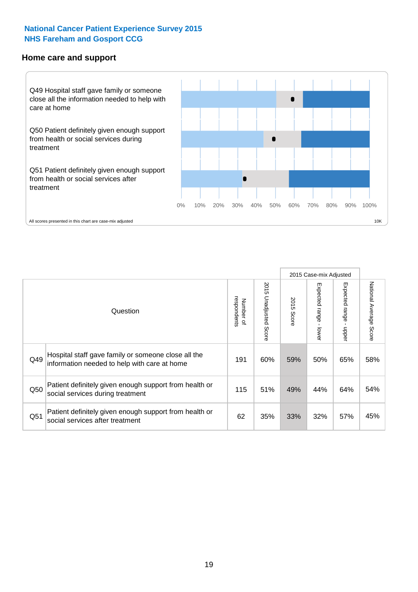#### **Home care and support**



2015 Case-mix Adjusted 2015 Unadjusted Score Expected range - upper National Average Score 2015 Unadjusted Score Expected range - lower National Average Score Expected range - lower Expected range - upper Number of<br>respondents respondents 2015 Score 2015 Score Number of Question Hospital staff gave family or someone close all the  $Q49$  information needed to help with care at home  $Q49$  |  $60\%$  |  $59\%$  |  $50\%$  |  $65\%$  |  $58\%$ Patient definitely given enough support from health or  $\frac{1050}{\text{social services during treatment}}$  115  $\begin{vmatrix} 115 & 51\% & 49\% & 44\% \end{vmatrix}$  64% 54% Patient definitely given enough support from health or  $\frac{1}{2}$   $\frac{1}{2}$  social services after treatment  $\frac{1}{2}$  62  $\frac{1}{35\%}$  35% 33% 32% 57% 45%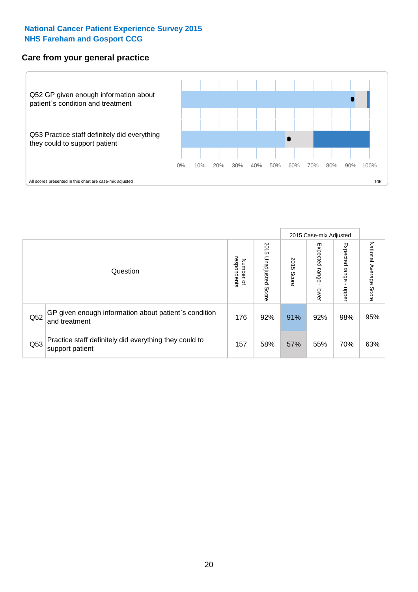### **Care from your general practice**



|     |                                                                           |                                       |                             |               |                         | 2015 Case-mix Adjusted  |                           |
|-----|---------------------------------------------------------------------------|---------------------------------------|-----------------------------|---------------|-------------------------|-------------------------|---------------------------|
|     | Question                                                                  | respondents<br>Number<br>$\mathbf{Q}$ | 2015<br>Unadjusted<br>Score | 2015<br>Score | Expected range<br>lower | Expected range<br>doper | National Average<br>Score |
| Q52 | GP given enough information about patient's condition<br>and treatment    | 176                                   | 92%                         | 91%           | 92%                     | 98%                     | 95%                       |
| Q53 | Practice staff definitely did everything they could to<br>support patient | 157                                   | 58%                         | 57%           | 55%                     | 70%                     | 63%                       |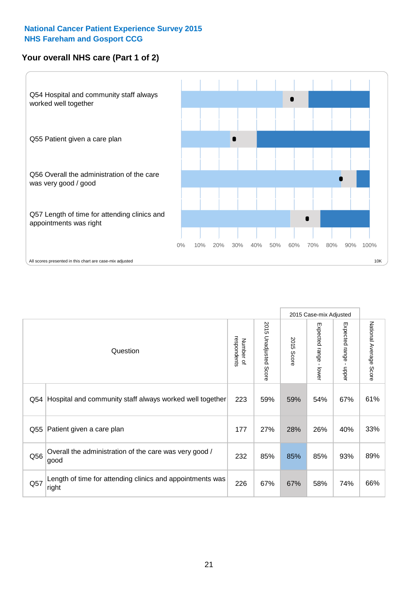# **Your overall NHS care (Part 1 of 2)**



|     |                                                                    |                          |                          |               | 2015 Case-mix Adjusted                    |                                           |                        |
|-----|--------------------------------------------------------------------|--------------------------|--------------------------|---------------|-------------------------------------------|-------------------------------------------|------------------------|
|     | Question                                                           | respondents<br>Number of | 2015<br>Unadjusted Score | 2015<br>Score | Expected range<br>$\blacksquare$<br>lower | Expected range<br>$\blacksquare$<br>nbber | National Average Score |
| Q54 | Hospital and community staff always worked well together           | 223                      | 59%                      | 59%           | 54%                                       | 67%                                       | 61%                    |
| Q55 | Patient given a care plan                                          | 177                      | 27%                      | 28%           | 26%                                       | 40%                                       | 33%                    |
| Q56 | Overall the administration of the care was very good /<br>good     | 232                      | 85%                      | 85%           | 85%                                       | 93%                                       | 89%                    |
| Q57 | Length of time for attending clinics and appointments was<br>right | 226                      | 67%                      | 67%           | 58%                                       | 74%                                       | 66%                    |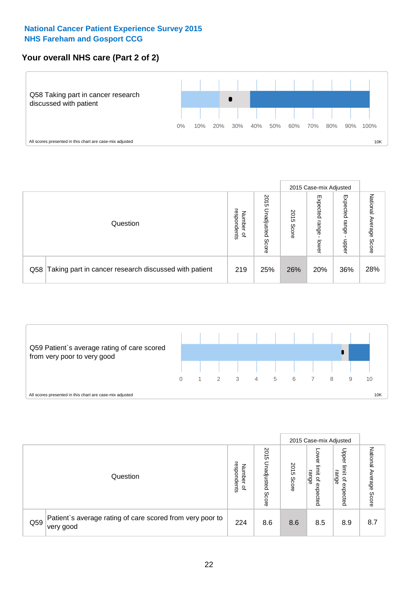# **Your overall NHS care (Part 2 of 2)**



|     |                                                       |                                         |                             |               | 2015 Case-mix Adjusted     |                            |                           |
|-----|-------------------------------------------------------|-----------------------------------------|-----------------------------|---------------|----------------------------|----------------------------|---------------------------|
|     | Question                                              | respondents<br>Number<br>$\overline{a}$ | 2015<br>Unadjusted<br>Score | 2015<br>Score | Expected<br>range<br>lower | Expected<br>range<br>doper | National<br>Average Score |
| Q58 | Taking part in cancer research discussed with patient | 219                                     | 25%                         | 26%           | 20%                        | 36%                        | 28%                       |



|     |                                                                        |                                              |                             |               |                                         | 2015 Case-mix Adjusted                                          |                              |
|-----|------------------------------------------------------------------------|----------------------------------------------|-----------------------------|---------------|-----------------------------------------|-----------------------------------------------------------------|------------------------------|
|     | Question                                                               | respondents<br>Number<br>$\overline{\sigma}$ | 2015<br>Jnadjusted<br>Score | 2015<br>Score | OWer<br>limit<br>range<br>٩<br>expected | Upper<br>limit<br>range<br>$\overline{\mathcal{C}}$<br>expected | National<br>Average<br>Score |
| Q59 | Patient's average rating of care scored from very poor to<br>very good | 224                                          | 8.6                         | 8.6           | 8.5                                     | 8.9                                                             | 8.7                          |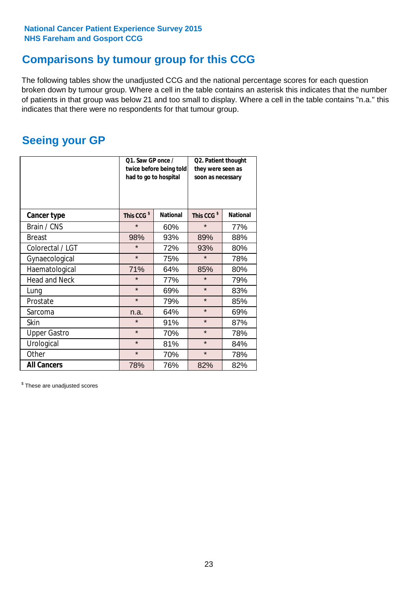# **Comparisons by tumour group for this CCG**

The following tables show the unadjusted CCG and the national percentage scores for each question broken down by tumour group. Where a cell in the table contains an asterisk this indicates that the number of patients in that group was below 21 and too small to display. Where a cell in the table contains "n.a." this indicates that there were no respondents for that tumour group.

# **Seeing your GP**

|                      | Q1. Saw GP once /<br>had to go to hospital | twice before being told | Q2. Patient thought<br>they were seen as<br>soon as necessary |                 |  |
|----------------------|--------------------------------------------|-------------------------|---------------------------------------------------------------|-----------------|--|
| <b>Cancer type</b>   | This CCG <sup>\$</sup>                     | <b>National</b>         | This CCG <sup>\$</sup>                                        | <b>National</b> |  |
| Brain / CNS          | $\star$                                    | 60%                     | $\star$                                                       | 77%             |  |
| <b>Breast</b>        | 98%                                        | 93%                     | 89%                                                           | 88%             |  |
| Colorectal / LGT     | $\star$                                    | 72%                     | 93%                                                           | 80%             |  |
| Gynaecological       | $\star$                                    | 75%                     | $\star$                                                       | 78%             |  |
| Haematological       | 71%                                        | 64%                     | 85%                                                           | 80%             |  |
| <b>Head and Neck</b> | $\star$                                    | 77%                     | $\star$                                                       | 79%             |  |
| Lung                 | $\star$                                    | 69%                     | $\star$                                                       | 83%             |  |
| Prostate             | $\star$                                    | 79%                     | $\star$                                                       | 85%             |  |
| Sarcoma              | n.a.                                       | 64%                     | $\star$                                                       | 69%             |  |
| <b>Skin</b>          | $\star$                                    | 91%                     | $\star$                                                       | 87%             |  |
| <b>Upper Gastro</b>  | $\star$                                    | 70%                     | $\star$                                                       | 78%             |  |
| Urological           | $\star$                                    | 81%                     | $\star$                                                       | 84%             |  |
| Other                | $\star$<br>70%                             |                         | $\star$                                                       | 78%             |  |
| <b>All Cancers</b>   | 78%                                        | 76%                     | 82%                                                           | 82%             |  |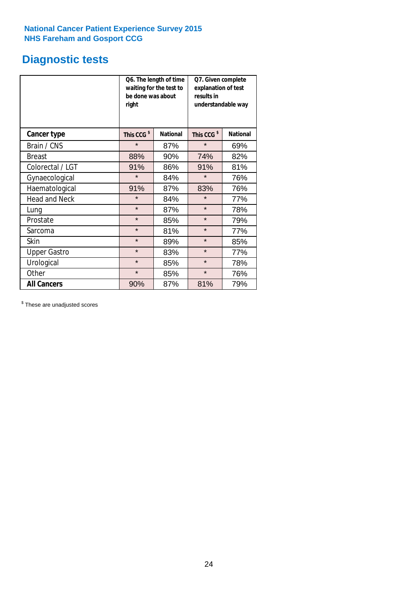# **Diagnostic tests**

|                      | be done was about<br>right | Q6. The length of time<br>waiting for the test to | Q7. Given complete<br>explanation of test<br>results in<br>understandable way |                 |  |  |
|----------------------|----------------------------|---------------------------------------------------|-------------------------------------------------------------------------------|-----------------|--|--|
| <b>Cancer type</b>   | This CCG <sup>\$</sup>     | <b>National</b>                                   | This CCG <sup>\$</sup>                                                        | <b>National</b> |  |  |
| Brain / CNS          | $\star$                    | 87%                                               | $\star$                                                                       | 69%             |  |  |
| <b>Breast</b>        | 88%                        | 90%                                               | 74%                                                                           | 82%             |  |  |
| Colorectal / LGT     | 91%                        | 86%                                               | 91%                                                                           | 81%             |  |  |
| Gynaecological       | $\star$                    | 84%                                               | $\star$                                                                       | 76%             |  |  |
| Haematological       | 91%                        | 87%                                               | 83%                                                                           | 76%             |  |  |
| <b>Head and Neck</b> | $\star$                    | 84%                                               | $\star$                                                                       | 77%             |  |  |
| Lung                 | $\star$                    | 87%                                               | $\star$                                                                       | 78%             |  |  |
| Prostate             | $\star$                    | 85%                                               | $\star$                                                                       | 79%             |  |  |
| Sarcoma              | $\star$                    | 81%                                               | $\star$                                                                       | 77%             |  |  |
| Skin                 | $\star$                    | 89%                                               | $\star$                                                                       | 85%             |  |  |
| <b>Upper Gastro</b>  | $\star$                    | 83%                                               | $\star$                                                                       | 77%             |  |  |
| Urological           | $\star$                    | 85%                                               | $\star$                                                                       | 78%             |  |  |
| Other                | $\star$                    | 85%                                               | $\star$                                                                       | 76%             |  |  |
| <b>All Cancers</b>   | 90%                        | 87%                                               | 81%                                                                           | 79%             |  |  |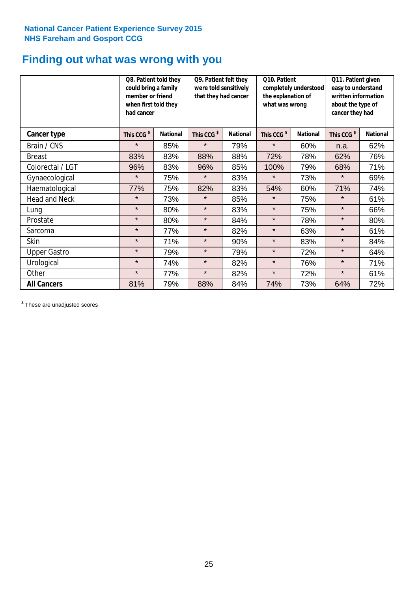# **Finding out what was wrong with you**

|                      | Q8. Patient told they<br>could bring a family<br>member or friend<br>when first told they<br>had cancer |                 | Q9. Patient felt they<br>were told sensitively<br>that they had cancer |                 | Q10. Patient<br>completely understood<br>the explanation of<br>what was wrong |                 | Q11. Patient given<br>easy to understand<br>written information<br>about the type of<br>cancer they had |                 |
|----------------------|---------------------------------------------------------------------------------------------------------|-----------------|------------------------------------------------------------------------|-----------------|-------------------------------------------------------------------------------|-----------------|---------------------------------------------------------------------------------------------------------|-----------------|
| Cancer type          | This CCG <sup>\$</sup>                                                                                  | <b>National</b> | This CCG <sup>\$</sup>                                                 | <b>National</b> | This CCG <sup>\$</sup>                                                        | <b>National</b> | This CCG <sup>\$</sup>                                                                                  | <b>National</b> |
| Brain / CNS          | $\star$                                                                                                 | 85%             | $\star$                                                                | 79%             | $\star$                                                                       | 60%             | n.a.                                                                                                    | 62%             |
| <b>Breast</b>        | 83%                                                                                                     | 83%             | 88%                                                                    | 88%             | 72%                                                                           | 78%             | 62%                                                                                                     | 76%             |
| Colorectal / LGT     | 96%                                                                                                     | 83%             | 96%                                                                    | 85%             | 100%                                                                          | 79%             | 68%                                                                                                     | 71%             |
| Gynaecological       | $\star$                                                                                                 | 75%             | $\star$                                                                | 83%             | $\star$                                                                       | 73%             | $\star$                                                                                                 | 69%             |
| Haematological       | 77%                                                                                                     | 75%             | 82%                                                                    | 83%             | 54%                                                                           | 60%             | 71%                                                                                                     | 74%             |
| <b>Head and Neck</b> | $\star$                                                                                                 | 73%             | $\star$                                                                | 85%             | $\star$                                                                       | 75%             | $\star$                                                                                                 | 61%             |
| Lung                 | $\star$                                                                                                 | 80%             | $\star$                                                                | 83%             | $\star$                                                                       | 75%             | $\star$                                                                                                 | 66%             |
| Prostate             | $\star$                                                                                                 | 80%             | $\star$                                                                | 84%             | $\star$                                                                       | 78%             | $\star$                                                                                                 | 80%             |
| Sarcoma              | $\star$                                                                                                 | 77%             | $\star$                                                                | 82%             | $\star$                                                                       | 63%             | $\star$                                                                                                 | 61%             |
| Skin                 | $\star$                                                                                                 | 71%             | $\star$                                                                | 90%             | $\star$                                                                       | 83%             | $\star$                                                                                                 | 84%             |
| <b>Upper Gastro</b>  | $\star$                                                                                                 | 79%             | $\star$                                                                | 79%             | $\star$                                                                       | 72%             | $\star$                                                                                                 | 64%             |
| Urological           | $\star$                                                                                                 | 74%             | $\star$                                                                | 82%             | $\star$                                                                       | 76%             | $\star$                                                                                                 | 71%             |
| Other                | $\star$                                                                                                 | 77%             | $\star$                                                                | 82%             | $\star$                                                                       | 72%             | $\star$                                                                                                 | 61%             |
| <b>All Cancers</b>   | 81%                                                                                                     | 79%             | 88%                                                                    | 84%             | 74%                                                                           | 73%             | 64%                                                                                                     | 72%             |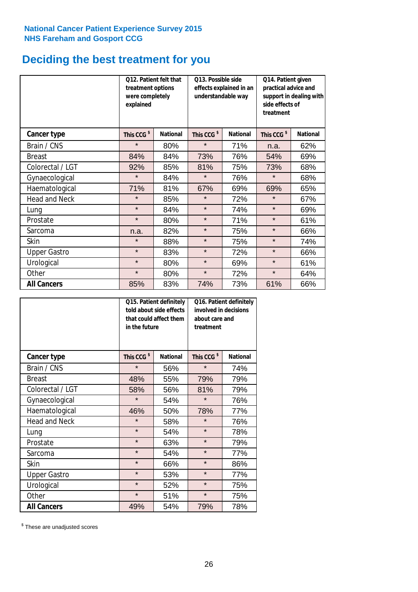# **Deciding the best treatment for you**

|                      | <b>Q12. Patient felt that</b><br>treatment options<br>were completely<br>explained |                 | Q13. Possible side<br>understandable way | effects explained in an | Q14. Patient given<br>practical advice and<br>support in dealing with<br>side effects of<br>treatment |                 |  |
|----------------------|------------------------------------------------------------------------------------|-----------------|------------------------------------------|-------------------------|-------------------------------------------------------------------------------------------------------|-----------------|--|
| <b>Cancer type</b>   | This CCG <sup>\$</sup>                                                             | <b>National</b> | This CCG <sup>\$</sup>                   | <b>National</b>         | This CCG <sup>\$</sup>                                                                                | <b>National</b> |  |
| Brain / CNS          | $\star$                                                                            | 80%             | $\star$                                  | 71%                     | n.a.                                                                                                  | 62%             |  |
| <b>Breast</b>        | 84%                                                                                | 84%             | 73%                                      | 76%                     | 54%                                                                                                   | 69%             |  |
| Colorectal / LGT     | 92%                                                                                | 85%             | 81%                                      | 75%                     | 73%                                                                                                   | 68%             |  |
| Gynaecological       | $\star$                                                                            | 84%             | $\star$                                  | 76%                     | $\star$                                                                                               | 68%             |  |
| Haematological       | 71%                                                                                | 81%             | 67%                                      | 69%                     | 69%                                                                                                   | 65%             |  |
| <b>Head and Neck</b> | $\star$                                                                            | 85%             | $\star$                                  | 72%                     | $\star$                                                                                               | 67%             |  |
| Lung                 | $\star$                                                                            | 84%             | $\star$                                  | 74%                     | $\star$                                                                                               | 69%             |  |
| Prostate             | $\star$                                                                            | 80%             | $\star$                                  | 71%                     | $\star$                                                                                               | 61%             |  |
| Sarcoma              | n.a.                                                                               | 82%             | $\star$                                  | 75%                     | $\star$                                                                                               | 66%             |  |
| Skin                 | $\star$                                                                            | 88%             | $\star$                                  | 75%                     | $\star$                                                                                               | 74%             |  |
| <b>Upper Gastro</b>  | $\star$                                                                            | 83%             | $\star$                                  | 72%                     | $\star$                                                                                               | 66%             |  |
| Urological           | $\star$                                                                            | 80%             | $\star$                                  | 69%                     | $\star$                                                                                               | 61%             |  |
| Other                | $\star$                                                                            | 80%             | $\star$                                  | 72%                     | $\star$                                                                                               | 64%             |  |
| <b>All Cancers</b>   | 85%                                                                                | 83%             | 74%                                      | 73%                     | 61%                                                                                                   | 66%             |  |

|                      | in the future          | Q15. Patient definitely<br>told about side effects<br>that could affect them | Q16. Patient definitely<br>involved in decisions<br>about care and<br>treatment |                 |  |
|----------------------|------------------------|------------------------------------------------------------------------------|---------------------------------------------------------------------------------|-----------------|--|
| <b>Cancer type</b>   | This CCG <sup>\$</sup> | <b>National</b>                                                              | This CCG <sup>\$</sup>                                                          | <b>National</b> |  |
| Brain / CNS          | $\star$                | 56%                                                                          | $\star$                                                                         | 74%             |  |
| <b>Breast</b>        | 48%                    | 55%                                                                          | 79%                                                                             | 79%             |  |
| Colorectal / LGT     | 58%                    | 56%                                                                          | 81%                                                                             | 79%             |  |
| Gynaecological       | $\star$<br>54%         |                                                                              | $\star$                                                                         | 76%             |  |
| Haematological       | 50%<br>46%             |                                                                              | 78%                                                                             | 77%             |  |
| <b>Head and Neck</b> | $\star$                | 58%                                                                          | $\star$                                                                         | 76%             |  |
| Lung                 | $\star$                | 54%                                                                          | $\star$                                                                         | 78%             |  |
| Prostate             | $\star$                | 63%                                                                          | $\star$                                                                         | 79%             |  |
| Sarcoma              | $\star$                | 54%                                                                          | $\star$                                                                         | 77%             |  |
| Skin                 | $\star$                | 66%                                                                          | $\star$                                                                         | 86%             |  |
| <b>Upper Gastro</b>  | $\star$                | 53%                                                                          | $\star$                                                                         | 77%             |  |
| Urological           | $\star$                | 52%                                                                          | $\star$                                                                         | 75%             |  |
| Other                | $\star$                | 51%                                                                          | $\star$                                                                         | 75%             |  |
| <b>All Cancers</b>   | 49%                    | 54%                                                                          | 79%                                                                             | 78%             |  |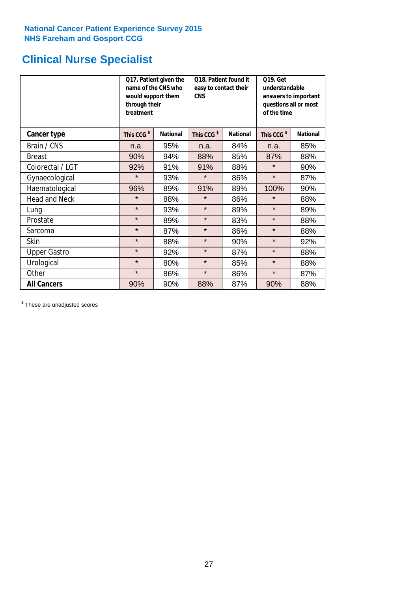# **Clinical Nurse Specialist**

|                      | would support them<br>through their<br>treatment | Q17. Patient given the<br>name of the CNS who | Q18. Patient found it<br>easy to contact their<br><b>CNS</b> |                 | <b>Q19. Get</b><br>understandable<br>answers to important<br>questions all or most<br>of the time |                 |  |
|----------------------|--------------------------------------------------|-----------------------------------------------|--------------------------------------------------------------|-----------------|---------------------------------------------------------------------------------------------------|-----------------|--|
| <b>Cancer type</b>   | This CCG <sup>\$</sup>                           | <b>National</b>                               | This CCG <sup>\$</sup>                                       | <b>National</b> | This CCG <sup>\$</sup>                                                                            | <b>National</b> |  |
| Brain / CNS          | n.a.                                             | 95%                                           | n.a.                                                         | 84%             | n.a.                                                                                              | 85%             |  |
| <b>Breast</b>        | 90%                                              | 94%                                           | 88%                                                          | 85%             | 87%                                                                                               | 88%             |  |
| Colorectal / LGT     | 92%                                              | 91%                                           | 91%                                                          | 88%             | $\star$                                                                                           | 90%             |  |
| Gynaecological       | $\star$                                          | 93%                                           | $\star$                                                      | 86%             | $\star$                                                                                           | 87%             |  |
| Haematological       | 96%                                              | 89%                                           | 91%                                                          | 89%             | 100%                                                                                              | 90%             |  |
| <b>Head and Neck</b> | $\star$                                          | 88%                                           | $\star$                                                      | 86%             | $\star$                                                                                           | 88%             |  |
| Lung                 | $\star$                                          | 93%                                           | $\star$                                                      | 89%             | $\star$                                                                                           | 89%             |  |
| Prostate             | $\star$                                          | 89%                                           | $\star$                                                      | 83%             | $\star$                                                                                           | 88%             |  |
| Sarcoma              | $\star$                                          | 87%                                           | $\star$                                                      | 86%             | $\star$                                                                                           | 88%             |  |
| Skin                 | $\star$                                          | 88%                                           | $\star$                                                      | 90%             | $\star$                                                                                           | 92%             |  |
| <b>Upper Gastro</b>  | $\star$                                          | 92%                                           | $\star$                                                      | 87%             | $\star$                                                                                           | 88%             |  |
| Urological           | $\star$                                          | 80%                                           | $\star$                                                      | 85%             | $\star$                                                                                           | 88%             |  |
| Other                | $\star$                                          | 86%                                           | $\star$                                                      | 86%             | $\star$                                                                                           | 87%             |  |
| <b>All Cancers</b>   | 90%                                              | 90%                                           | 88%                                                          | 87%             | 90%                                                                                               | 88%             |  |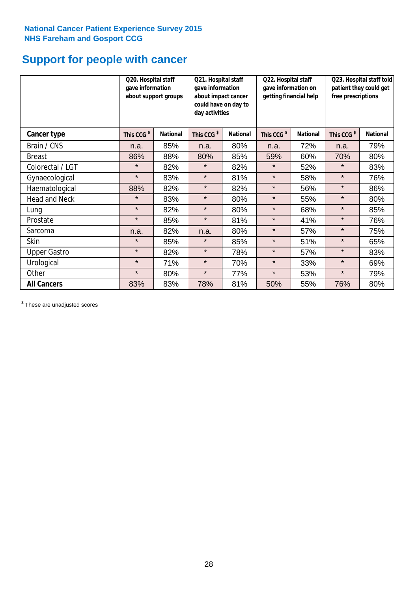# **Support for people with cancer**

|                      | Q20. Hospital staff<br>gave information<br>about support groups |                 | Q21. Hospital staff<br>gave information<br>about impact cancer<br>could have on day to<br>day activities |                 | Q22. Hospital staff<br>gave information on<br>getting financial help |                 | Q23. Hospital staff told<br>patient they could get<br>free prescriptions |                 |
|----------------------|-----------------------------------------------------------------|-----------------|----------------------------------------------------------------------------------------------------------|-----------------|----------------------------------------------------------------------|-----------------|--------------------------------------------------------------------------|-----------------|
| <b>Cancer type</b>   | This CCG <sup>\$</sup>                                          | <b>National</b> | This CCG <sup>\$</sup>                                                                                   | <b>National</b> | This CCG <sup>\$</sup>                                               | <b>National</b> | This CCG <sup>\$</sup>                                                   | <b>National</b> |
| Brain / CNS          | n.a.                                                            | 85%             | n.a.                                                                                                     | 80%             | n.a.                                                                 | 72%             | n.a.                                                                     | 79%             |
| <b>Breast</b>        | 86%                                                             | 88%             | 80%                                                                                                      | 85%             | 59%                                                                  | 60%             | 70%                                                                      | 80%             |
| Colorectal / LGT     | $\star$                                                         | 82%             | $\star$                                                                                                  | 82%             | $\star$                                                              | 52%             | $\star$                                                                  | 83%             |
| Gynaecological       | $\star$                                                         | 83%             | $\star$                                                                                                  | 81%             | $\star$                                                              | 58%             | $\star$                                                                  | 76%             |
| Haematological       | 88%                                                             | 82%             | $\star$                                                                                                  | 82%             | $\star$                                                              | 56%             | $\star$                                                                  | 86%             |
| <b>Head and Neck</b> | $\star$                                                         | 83%             | $\star$                                                                                                  | 80%             | $\star$                                                              | 55%             | $\star$                                                                  | 80%             |
| Lung                 | $\star$                                                         | 82%             | $\star$                                                                                                  | 80%             | $\star$                                                              | 68%             | $\star$                                                                  | 85%             |
| Prostate             | $\star$                                                         | 85%             | $\star$                                                                                                  | 81%             | $\star$                                                              | 41%             | $\star$                                                                  | 76%             |
| Sarcoma              | n.a.                                                            | 82%             | n.a.                                                                                                     | 80%             | $\star$                                                              | 57%             | $\star$                                                                  | 75%             |
| Skin                 | $\star$                                                         | 85%             | $\star$                                                                                                  | 85%             | $\star$                                                              | 51%             | $\star$                                                                  | 65%             |
| <b>Upper Gastro</b>  | $\star$                                                         | 82%             | $\star$                                                                                                  | 78%             | $\star$                                                              | 57%             | $\star$                                                                  | 83%             |
| Urological           | $\star$                                                         | 71%             | $\star$                                                                                                  | 70%             | $\star$                                                              | 33%             | $\star$                                                                  | 69%             |
| Other                | $\star$                                                         | 80%             | $\star$                                                                                                  | 77%             | $\star$                                                              | 53%             | $\star$                                                                  | 79%             |
| <b>All Cancers</b>   | 83%                                                             | 83%             | 78%                                                                                                      | 81%             | 50%                                                                  | 55%             | 76%                                                                      | 80%             |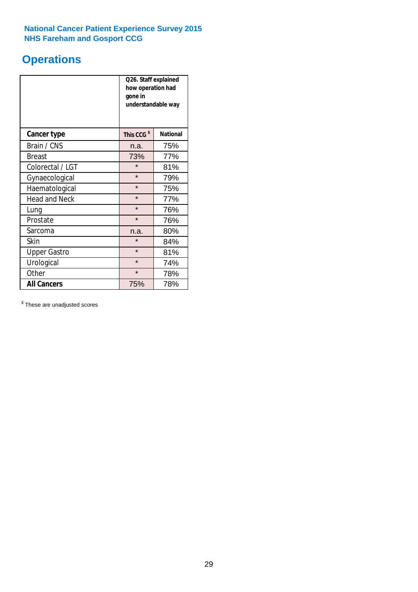# **Operations**

|                      | Q26. Staff explained<br>how operation had<br>gone in<br>understandable way |                 |  |  |
|----------------------|----------------------------------------------------------------------------|-----------------|--|--|
| <b>Cancer type</b>   | This CCG <sup>\$</sup>                                                     | <b>National</b> |  |  |
| Brain / CNS          | n.a.                                                                       | 75%             |  |  |
| <b>Breast</b>        | 73%                                                                        | 77%             |  |  |
| Colorectal / LGT     | $\star$                                                                    | 81%             |  |  |
| Gynaecological       | $\star$                                                                    | 79%             |  |  |
| Haematological       | $\star$                                                                    | 75%             |  |  |
| <b>Head and Neck</b> | $\star$                                                                    | 77%             |  |  |
| Lung                 | $\star$                                                                    | 76%             |  |  |
| Prostate             | $\star$                                                                    | 76%             |  |  |
| Sarcoma              | n.a.                                                                       | 80%             |  |  |
| Skin                 | $\star$                                                                    | 84%             |  |  |
| <b>Upper Gastro</b>  | $\star$                                                                    | 81%             |  |  |
| Urological           | $\star$                                                                    | 74%             |  |  |
| Other                | $\star$<br>78%                                                             |                 |  |  |
| <b>All Cancers</b>   | 75%                                                                        | 78%             |  |  |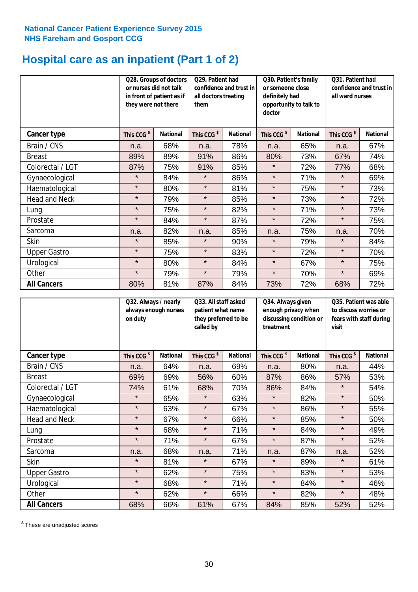# **Hospital care as an inpatient (Part 1 of 2)**

|                      | or nurses did not talk<br>they were not there | Q28. Groups of doctors<br>in front of patient as if | Q29. Patient had<br>confidence and trust in<br>all doctors treating<br>them |                 | Q30. Patient's family<br>or someone close<br>definitely had<br>opportunity to talk to<br>doctor |                 | Q31. Patient had<br>confidence and trust in I<br>all ward nurses |                 |
|----------------------|-----------------------------------------------|-----------------------------------------------------|-----------------------------------------------------------------------------|-----------------|-------------------------------------------------------------------------------------------------|-----------------|------------------------------------------------------------------|-----------------|
| Cancer type          | This CCG <sup>\$</sup>                        | <b>National</b>                                     | This CCG <sup>\$</sup>                                                      | <b>National</b> | This CCG <sup>\$</sup>                                                                          | <b>National</b> | This CCG <sup>\$</sup>                                           | <b>National</b> |
| Brain / CNS          | n.a.                                          | 68%                                                 | n.a.                                                                        | 78%             | n.a.                                                                                            | 65%             | n.a.                                                             | 67%             |
| <b>Breast</b>        | 89%                                           | 89%                                                 | 91%                                                                         | 86%             | 80%                                                                                             | 73%             | 67%                                                              | 74%             |
| Colorectal / LGT     | 87%                                           | 75%                                                 | 91%                                                                         | 85%             | $\star$                                                                                         | 72%             | 77%                                                              | 68%             |
| Gynaecological       | $\star$                                       | 84%                                                 | $\star$                                                                     | 86%             | $\star$                                                                                         | 71%             | $\star$                                                          | 69%             |
| Haematological       | $\star$                                       | 80%                                                 | $\star$                                                                     | 81%             | $\star$                                                                                         | 75%             | $\star$                                                          | 73%             |
| <b>Head and Neck</b> | $\star$                                       | 79%                                                 | $\star$                                                                     | 85%             | $\star$                                                                                         | 73%             | $\star$                                                          | 72%             |
| Lung                 | $\star$                                       | 75%                                                 | $\star$                                                                     | 82%             | $\star$                                                                                         | 71%             | $\star$                                                          | 73%             |
| Prostate             | $\star$                                       | 84%                                                 | $\star$                                                                     | 87%             | $\star$                                                                                         | 72%             | $\star$                                                          | 75%             |
| Sarcoma              | n.a.                                          | 82%                                                 | n.a.                                                                        | 85%             | n.a.                                                                                            | 75%             | n.a.                                                             | 70%             |
| Skin                 | $\star$                                       | 85%                                                 | $\star$                                                                     | 90%             | $\star$                                                                                         | 79%             | $\star$                                                          | 84%             |
| <b>Upper Gastro</b>  | $\star$                                       | 75%                                                 | $\star$                                                                     | 83%             | $\star$                                                                                         | 72%             | $\star$                                                          | 70%             |
| Urological           | $\star$                                       | 80%                                                 | $\star$                                                                     | 84%             | $\star$                                                                                         | 67%             | $\star$                                                          | 75%             |
| Other                | $\star$                                       | 79%                                                 | $\star$                                                                     | 79%             | $\star$                                                                                         | 70%             | $\star$                                                          | 69%             |
| <b>All Cancers</b>   | 80%                                           | 81%                                                 | 87%                                                                         | 84%             | 73%                                                                                             | 72%             | 68%                                                              | 72%             |

|                      | Q32. Always / nearly<br>always enough nurses<br>on duty |                 | Q33. All staff asked<br>patient what name<br>they preferred to be<br>called by |                 | Q34. Always given<br>enough privacy when<br>discussing condition or<br>treatment |                 | Q35. Patient was able<br>to discuss worries or<br>fears with staff during<br>visit |                 |
|----------------------|---------------------------------------------------------|-----------------|--------------------------------------------------------------------------------|-----------------|----------------------------------------------------------------------------------|-----------------|------------------------------------------------------------------------------------|-----------------|
| <b>Cancer type</b>   | This CCG <sup>\$</sup>                                  | <b>National</b> | This CCG <sup>\$</sup>                                                         | <b>National</b> | This CCG <sup>\$</sup>                                                           | <b>National</b> | This CCG <sup>\$</sup>                                                             | <b>National</b> |
| Brain / CNS          | n.a.                                                    | 64%             | n.a.                                                                           | 69%             | n.a.                                                                             | 80%             | n.a.                                                                               | 44%             |
| <b>Breast</b>        | 69%                                                     | 69%             | 56%                                                                            | 60%             | 87%                                                                              | 86%             | 57%                                                                                | 53%             |
| Colorectal / LGT     | 74%                                                     | 61%             | 68%                                                                            | 70%             | 86%                                                                              | 84%             | $\star$                                                                            | 54%             |
| Gynaecological       | $\star$                                                 | 65%             | $\star$                                                                        | 63%             | $\star$                                                                          | 82%             | $\star$                                                                            | 50%             |
| Haematological       | $\star$                                                 | 63%             | $\star$                                                                        | 67%             | $\star$                                                                          | 86%             | $\star$                                                                            | 55%             |
| <b>Head and Neck</b> | $\star$                                                 | 67%             | $\star$                                                                        | 66%             | $\star$                                                                          | 85%             | $\star$                                                                            | 50%             |
| Lung                 | $\star$                                                 | 68%             | $\star$                                                                        | 71%             | $\star$                                                                          | 84%             | $\star$                                                                            | 49%             |
| Prostate             | $\star$                                                 | 71%             | $\star$                                                                        | 67%             | $\star$                                                                          | 87%             | $\star$                                                                            | 52%             |
| Sarcoma              | n.a.                                                    | 68%             | n.a.                                                                           | 71%             | n.a.                                                                             | 87%             | n.a.                                                                               | 52%             |
| Skin                 | $\star$                                                 | 81%             | $\star$                                                                        | 67%             | $\star$                                                                          | 89%             | $\star$                                                                            | 61%             |
| <b>Upper Gastro</b>  | $\star$                                                 | 62%             | $\star$                                                                        | 75%             | $\star$                                                                          | 83%             | $\star$                                                                            | 53%             |
| Urological           | $\star$                                                 | 68%             | $\star$                                                                        | 71%             | $\star$                                                                          | 84%             | $\star$                                                                            | 46%             |
| Other                | $\star$                                                 | 62%             | $\star$                                                                        | 66%             | $\star$                                                                          | 82%             | $\star$                                                                            | 48%             |
| <b>All Cancers</b>   | 68%                                                     | 66%             | 61%                                                                            | 67%             | 84%                                                                              | 85%             | 52%                                                                                | 52%             |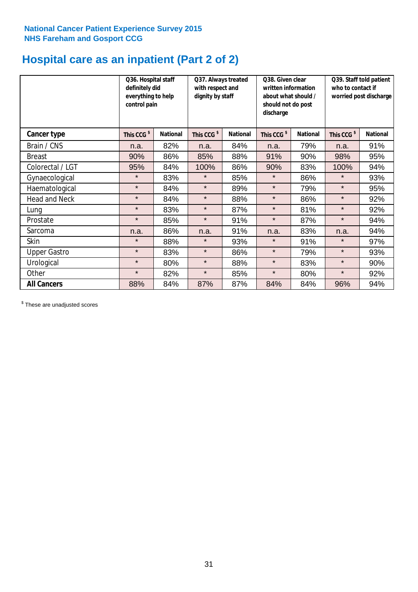# **Hospital care as an inpatient (Part 2 of 2)**

|                      | Q36. Hospital staff<br>definitely did<br>everything to help<br>control pain |                 | Q37. Always treated<br>with respect and<br>dignity by staff |                 | Q38. Given clear<br>written information<br>about what should /<br>should not do post<br>discharge |                 | Q39. Staff told patient<br>who to contact if<br>worried post discharge |                 |
|----------------------|-----------------------------------------------------------------------------|-----------------|-------------------------------------------------------------|-----------------|---------------------------------------------------------------------------------------------------|-----------------|------------------------------------------------------------------------|-----------------|
| Cancer type          | This CCG <sup>\$</sup>                                                      | <b>National</b> | This CCG <sup>\$</sup>                                      | <b>National</b> | This CCG <sup>\$</sup>                                                                            | <b>National</b> | This CCG <sup>\$</sup>                                                 | <b>National</b> |
| Brain / CNS          | n.a.                                                                        | 82%             | n.a.                                                        | 84%             | n.a.                                                                                              | 79%             | n.a.                                                                   | 91%             |
| <b>Breast</b>        | 90%                                                                         | 86%             | 85%                                                         | 88%             | 91%                                                                                               | 90%             | 98%                                                                    | 95%             |
| Colorectal / LGT     | 95%                                                                         | 84%             | 100%                                                        | 86%             | 90%                                                                                               | 83%             | 100%                                                                   | 94%             |
| Gynaecological       | $\star$                                                                     | 83%             | $\star$                                                     | 85%             | $\star$                                                                                           | 86%             | $\star$                                                                | 93%             |
| Haematological       | $\star$                                                                     | 84%             | $\star$                                                     | 89%             | $\star$                                                                                           | 79%             | $\star$                                                                | 95%             |
| <b>Head and Neck</b> | $\star$                                                                     | 84%             | $\star$                                                     | 88%             | $\star$                                                                                           | 86%             | $\star$                                                                | 92%             |
| Lung                 | $\star$                                                                     | 83%             | $\star$                                                     | 87%             | $\star$                                                                                           | 81%             | $\star$                                                                | 92%             |
| Prostate             | $\star$                                                                     | 85%             | $\star$                                                     | 91%             | $\star$                                                                                           | 87%             | $\star$                                                                | 94%             |
| Sarcoma              | n.a.                                                                        | 86%             | n.a.                                                        | 91%             | n.a.                                                                                              | 83%             | n.a.                                                                   | 94%             |
| Skin                 | $\star$                                                                     | 88%             | $\star$                                                     | 93%             | $\star$                                                                                           | 91%             | $\star$                                                                | 97%             |
| <b>Upper Gastro</b>  | $\star$                                                                     | 83%             | $\star$                                                     | 86%             | $\star$                                                                                           | 79%             | $\star$                                                                | 93%             |
| Urological           | $\star$                                                                     | 80%             | $\star$                                                     | 88%             | $\star$                                                                                           | 83%             | $\star$                                                                | 90%             |
| Other                | $\star$                                                                     | 82%             | $\star$                                                     | 85%             | $\star$                                                                                           | 80%             | $\star$                                                                | 92%             |
| <b>All Cancers</b>   | 88%                                                                         | 84%             | 87%                                                         | 87%             | 84%                                                                                               | 84%             | 96%                                                                    | 94%             |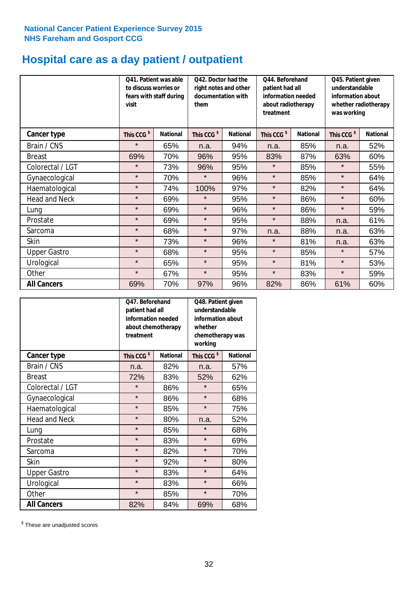# **Hospital care as a day patient / outpatient**

|                      | to discuss worries or<br>visit | Q41. Patient was able<br>fears with staff during | Q42. Doctor had the<br>right notes and other<br>documentation with<br>them |                 | Q44. Beforehand<br>patient had all<br>information needed<br>about radiotherapy<br>treatment |                 | Q45. Patient given<br>understandable<br>information about<br>whether radiotherapy<br>was working |                 |
|----------------------|--------------------------------|--------------------------------------------------|----------------------------------------------------------------------------|-----------------|---------------------------------------------------------------------------------------------|-----------------|--------------------------------------------------------------------------------------------------|-----------------|
| Cancer type          | This CCG <sup>\$</sup>         | <b>National</b>                                  | This CCG <sup>\$</sup>                                                     | <b>National</b> | This CCG <sup>\$</sup>                                                                      | <b>National</b> | This CCG <sup>\$</sup>                                                                           | <b>National</b> |
| Brain / CNS          | $\star$                        | 65%                                              | n.a.                                                                       | 94%             | n.a.                                                                                        | 85%             | n.a.                                                                                             | 52%             |
| <b>Breast</b>        | 69%                            | 70%                                              | 96%                                                                        | 95%             | 83%                                                                                         | 87%             | 63%                                                                                              | 60%             |
| Colorectal / LGT     | $\star$                        | 73%                                              | 96%                                                                        | 95%             | $\star$                                                                                     | 85%             | $\star$                                                                                          | 55%             |
| Gynaecological       | $\star$                        | 70%                                              | $\star$                                                                    | 96%             | $\star$                                                                                     | 85%             | $\star$                                                                                          | 64%             |
| Haematological       | $\star$                        | 74%                                              | 100%                                                                       | 97%             | $\star$                                                                                     | 82%             | $\star$                                                                                          | 64%             |
| <b>Head and Neck</b> | $\star$                        | 69%                                              | $\star$                                                                    | 95%             | $\star$                                                                                     | 86%             | $\star$                                                                                          | 60%             |
| Lung                 | $\star$                        | 69%                                              | $\star$                                                                    | 96%             | $\star$                                                                                     | 86%             | $\star$                                                                                          | 59%             |
| Prostate             | $\star$                        | 69%                                              | $\star$                                                                    | 95%             | $\star$                                                                                     | 88%             | n.a.                                                                                             | 61%             |
| Sarcoma              | $\star$                        | 68%                                              | $\star$                                                                    | 97%             | n.a.                                                                                        | 88%             | n.a.                                                                                             | 63%             |
| Skin                 | $\star$                        | 73%                                              | $\star$                                                                    | 96%             | $\star$                                                                                     | 81%             | n.a.                                                                                             | 63%             |
| <b>Upper Gastro</b>  | $\star$                        | 68%                                              | $\star$                                                                    | 95%             | $\star$                                                                                     | 85%             | $\star$                                                                                          | 57%             |
| Urological           | $\star$                        | 65%                                              | $\star$                                                                    | 95%             | $\star$                                                                                     | 81%             | $\star$                                                                                          | 53%             |
| Other                | $\star$                        | 67%                                              | $\star$                                                                    | 95%             | $\star$                                                                                     | 83%             | $\star$                                                                                          | 59%             |
| <b>All Cancers</b>   | 69%                            | 70%                                              | 97%                                                                        | 96%             | 82%                                                                                         | 86%             | 61%                                                                                              | 60%             |

|                      | O47. Beforehand<br>patient had all<br>information needed<br>treatment | about chemotherapy | Q48. Patient given<br>understandable<br>information about<br>whether<br>chemotherapy was<br>working |                 |  |
|----------------------|-----------------------------------------------------------------------|--------------------|-----------------------------------------------------------------------------------------------------|-----------------|--|
| <b>Cancer type</b>   | This CCG <sup>\$</sup>                                                | <b>National</b>    | This CCG <sup>\$</sup>                                                                              | <b>National</b> |  |
| Brain / CNS          | n.a.                                                                  | 82%                | n.a.                                                                                                | 57%             |  |
| <b>Breast</b>        | 72%                                                                   | 83%                | 52%                                                                                                 | 62%             |  |
| Colorectal / LGT     | $\star$                                                               | 86%                | $\star$                                                                                             | 65%             |  |
| Gynaecological       | $\star$                                                               | 86%                | $\star$                                                                                             | 68%             |  |
| Haematological       | $\star$<br>85%                                                        |                    | $\star$                                                                                             | 75%             |  |
| <b>Head and Neck</b> | $\star$                                                               | 80%                | n.a.                                                                                                | 52%             |  |
| Lung                 | $\star$                                                               | 85%                | $\star$                                                                                             | 68%             |  |
| Prostate             | $\star$                                                               | 83%                | $\star$                                                                                             | 69%             |  |
| Sarcoma              | $\star$                                                               | 82%                | $\star$                                                                                             | 70%             |  |
| Skin                 | $\star$                                                               | 92%                | $\star$                                                                                             | 80%             |  |
| <b>Upper Gastro</b>  | $\star$                                                               | 83%                | $\star$                                                                                             | 64%             |  |
| Urological           | $\star$                                                               | 83%                | $\star$                                                                                             | 66%             |  |
| Other                | $\star$                                                               | 85%                | $\star$                                                                                             | 70%             |  |
| <b>All Cancers</b>   | 82%                                                                   | 84%                | 69%                                                                                                 | 68%             |  |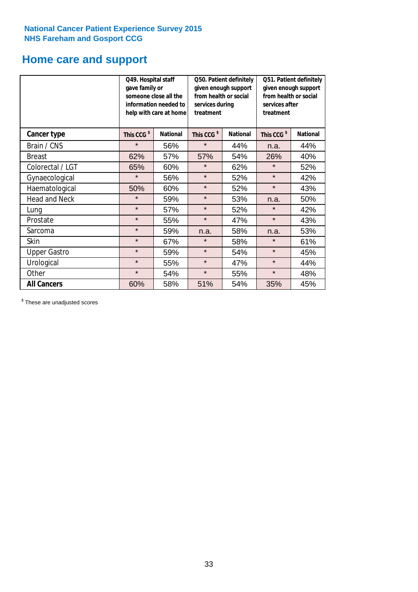# **Home care and support**

|                      | Q49. Hospital staff<br>gave family or | someone close all the<br>information needed to<br>help with care at home | Q50. Patient definitely<br>given enough support<br>from health or social<br>services during<br>treatment |                        | Q51. Patient definitely<br>given enough support<br>from health or social<br>services after<br>treatment |     |
|----------------------|---------------------------------------|--------------------------------------------------------------------------|----------------------------------------------------------------------------------------------------------|------------------------|---------------------------------------------------------------------------------------------------------|-----|
| <b>Cancer type</b>   | This CCG <sup>\$</sup>                | <b>National</b><br>This CCG <sup>\$</sup><br><b>National</b>             |                                                                                                          | This CCG <sup>\$</sup> | <b>National</b>                                                                                         |     |
| Brain / CNS          | $\star$                               | 56%                                                                      | $\star$                                                                                                  | 44%                    | n.a.                                                                                                    | 44% |
| <b>Breast</b>        | 62%                                   | 57%                                                                      | 57%                                                                                                      | 54%                    | 26%                                                                                                     | 40% |
| Colorectal / LGT     | 65%                                   | 60%                                                                      | $\star$                                                                                                  | 62%                    | $\star$                                                                                                 | 52% |
| Gynaecological       | $\star$                               | 56%                                                                      | $\star$                                                                                                  | 52%                    | $\star$                                                                                                 | 42% |
| Haematological       | 50%                                   | 60%                                                                      | $\star$                                                                                                  | 52%                    | $\star$                                                                                                 | 43% |
| <b>Head and Neck</b> | $\star$                               | 59%                                                                      | $\star$                                                                                                  | 53%                    | n.a.                                                                                                    | 50% |
| Lung                 | $\star$                               | 57%                                                                      | $\star$                                                                                                  | 52%                    | $\star$                                                                                                 | 42% |
| Prostate             | $\star$                               | 55%                                                                      | $\star$                                                                                                  | 47%                    | $\star$                                                                                                 | 43% |
| Sarcoma              | $\star$                               | 59%                                                                      | n.a.                                                                                                     | 58%                    | n.a.                                                                                                    | 53% |
| Skin                 | $\star$                               | 67%                                                                      | $\star$                                                                                                  | 58%                    | $\star$                                                                                                 | 61% |
| <b>Upper Gastro</b>  | $\star$                               | 59%                                                                      | $\star$                                                                                                  | 54%                    | $\star$                                                                                                 | 45% |
| Urological           | $\star$                               | 55%                                                                      | $\star$                                                                                                  | 47%                    | $\star$                                                                                                 | 44% |
| Other                | $\star$                               | 54%                                                                      | $\star$<br>55%                                                                                           |                        | $\star$                                                                                                 | 48% |
| <b>All Cancers</b>   | 60%                                   | 58%                                                                      | 51%                                                                                                      | 54%                    | 35%                                                                                                     | 45% |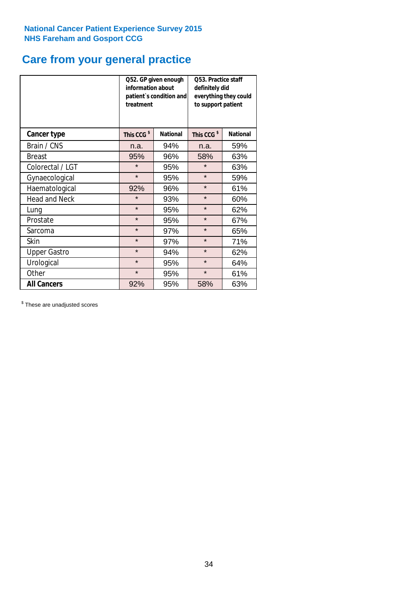# **Care from your general practice**

|                      | information about<br>treatment | Q52. GP given enough<br>patient's condition and | O53. Practice staff<br>definitely did<br>everything they could<br>to support patient |                 |  |
|----------------------|--------------------------------|-------------------------------------------------|--------------------------------------------------------------------------------------|-----------------|--|
| <b>Cancer type</b>   | This CCG <sup>\$</sup>         | <b>National</b>                                 | This CCG <sup>\$</sup>                                                               | <b>National</b> |  |
| Brain / CNS          | n.a.                           | 94%                                             | n.a.                                                                                 | 59%             |  |
| <b>Breast</b>        | 95%                            | 96%                                             | 58%                                                                                  | 63%             |  |
| Colorectal / LGT     | $\star$                        | 95%                                             | $\star$                                                                              | 63%             |  |
| Gynaecological       | $\star$                        | 95%                                             | $\star$                                                                              | 59%             |  |
| Haematological       | 92%                            | 96%                                             | $\star$                                                                              | 61%             |  |
| <b>Head and Neck</b> | $\star$                        | 93%                                             | $\star$                                                                              | 60%             |  |
| Lung                 | $\star$                        | 95%                                             | $\star$                                                                              | 62%             |  |
| Prostate             | $\star$                        | 95%                                             | $\star$                                                                              | 67%             |  |
| Sarcoma              | $\star$                        | 97%                                             | $\star$                                                                              | 65%             |  |
| Skin                 | $\star$                        | 97%                                             | $\star$                                                                              | 71%             |  |
| <b>Upper Gastro</b>  | $\star$                        | 94%                                             | $\star$                                                                              | 62%             |  |
| Urological           | $\star$                        | 95%                                             | $\star$                                                                              | 64%             |  |
| Other                | $\star$                        | 95%                                             | $\star$                                                                              | 61%             |  |
| <b>All Cancers</b>   | 92%                            | 95%                                             | 58%                                                                                  | 63%             |  |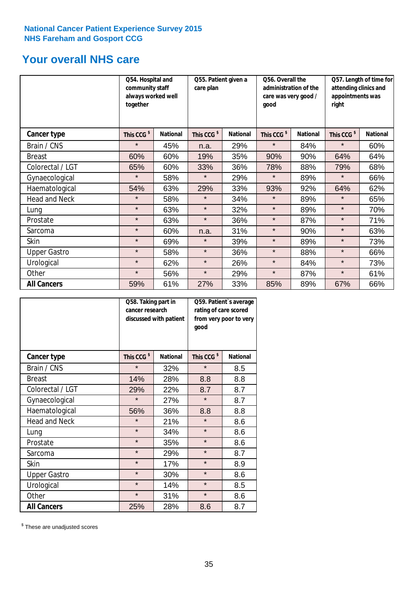# **Your overall NHS care**

|                      | Q54. Hospital and<br>community staff<br>always worked well<br>together |                 | Q55. Patient given a<br>care plan |                 | Q56. Overall the<br>administration of the<br>care was very good /<br>qood |                 | Q57. Length of time for<br>attending clinics and<br>appointments was<br>right |                 |
|----------------------|------------------------------------------------------------------------|-----------------|-----------------------------------|-----------------|---------------------------------------------------------------------------|-----------------|-------------------------------------------------------------------------------|-----------------|
| <b>Cancer type</b>   | This CCG <sup>\$</sup>                                                 | <b>National</b> | This CCG <sup>\$</sup>            | <b>National</b> | This CCG <sup>\$</sup>                                                    | <b>National</b> | This CCG <sup>\$</sup>                                                        | <b>National</b> |
| Brain / CNS          | $\star$                                                                | 45%             | n.a.                              | 29%             | $\star$                                                                   | 84%             | $\star$                                                                       | 60%             |
| <b>Breast</b>        | 60%                                                                    | 60%             | 19%                               | 35%             | 90%                                                                       | 90%             | 64%                                                                           | 64%             |
| Colorectal / LGT     | 65%                                                                    | 60%             | 33%                               | 36%             | 78%                                                                       | 88%             | 79%                                                                           | 68%             |
| Gynaecological       | $\star$                                                                | 58%             | $\star$                           | 29%             | $\star$                                                                   | 89%             | $\star$                                                                       | 66%             |
| Haematological       | 54%                                                                    | 63%             | 29%                               | 33%             | 93%                                                                       | 92%             | 64%                                                                           | 62%             |
| <b>Head and Neck</b> | $\star$                                                                | 58%             | $\star$                           | 34%             | $\star$                                                                   | 89%             | $\star$                                                                       | 65%             |
| Lung                 | $\star$                                                                | 63%             | $\star$                           | 32%             | $\star$                                                                   | 89%             | $\star$                                                                       | 70%             |
| Prostate             | $\star$                                                                | 63%             | $\star$                           | 36%             | $\star$                                                                   | 87%             | $\star$                                                                       | 71%             |
| Sarcoma              | $\star$                                                                | 60%             | n.a.                              | 31%             | $\star$                                                                   | 90%             | $\star$                                                                       | 63%             |
| Skin                 | $\star$                                                                | 69%             | $\star$                           | 39%             | $\star$                                                                   | 89%             | $\star$                                                                       | 73%             |
| <b>Upper Gastro</b>  | $\star$                                                                | 58%             | $\star$                           | 36%             | $\star$                                                                   | 88%             | $\star$                                                                       | 66%             |
| Urological           | $\star$                                                                | 62%             | $\star$                           | 26%             | $\star$                                                                   | 84%             | $\star$                                                                       | 73%             |
| Other                | $\star$                                                                | 56%             | $\star$                           | 29%             | $\star$                                                                   | 87%             | $\star$                                                                       | 61%             |
| <b>All Cancers</b>   | 59%                                                                    | 61%             | 27%                               | 33%             | 85%                                                                       | 89%             | 67%                                                                           | 66%             |

|                      | Q58. Taking part in<br>cancer research | discussed with patient | Q59. Patient's average<br>rating of care scored<br>from very poor to very<br>good |                 |  |
|----------------------|----------------------------------------|------------------------|-----------------------------------------------------------------------------------|-----------------|--|
| <b>Cancer type</b>   | This CCG <sup>\$</sup>                 | <b>National</b>        | This CCG <sup>\$</sup>                                                            | <b>National</b> |  |
| Brain / CNS          | $\star$                                | 32%                    | $\star$                                                                           | 8.5             |  |
| <b>Breast</b>        | 14%                                    | 28%                    | 8.8                                                                               | 8.8             |  |
| Colorectal / LGT     | 29%                                    | 22%                    | 8.7                                                                               | 8.7             |  |
| Gynaecological       | $\star$                                | 27%                    | $\star$                                                                           | 8.7             |  |
| Haematological       | 56%                                    | 36%                    | 8.8                                                                               | 8.8             |  |
| <b>Head and Neck</b> | $\star$                                | 21%                    | $\star$                                                                           | 8.6             |  |
| Lung                 | $\star$                                | 34%                    | $\star$                                                                           | 8.6             |  |
| Prostate             | $\star$                                | 35%                    | $\star$                                                                           | 8.6             |  |
| Sarcoma              | $\star$                                | 29%                    | $\star$                                                                           | 8.7             |  |
| <b>Skin</b>          | $\star$                                | 17%                    | $\star$                                                                           | 8.9             |  |
| <b>Upper Gastro</b>  | $\star$                                | 30%                    | $\star$                                                                           | 8.6             |  |
| Urological           | $\star$                                | 14%                    | $\star$                                                                           | 8.5             |  |
| Other                | $\star$                                | 31%                    | $\star$                                                                           | 8.6             |  |
| <b>All Cancers</b>   | 25%                                    | 28%                    | 8.6                                                                               | 8.7             |  |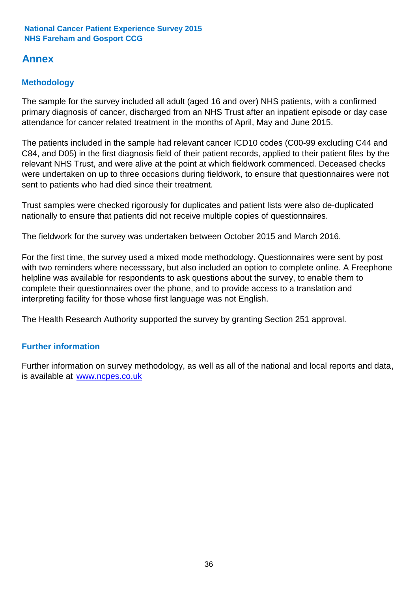# **Annex**

# **Methodology**

The sample for the survey included all adult (aged 16 and over) NHS patients, with a confirmed primary diagnosis of cancer, discharged from an NHS Trust after an inpatient episode or day case attendance for cancer related treatment in the months of April, May and June 2015.

The patients included in the sample had relevant cancer ICD10 codes (C00-99 excluding C44 and C84, and D05) in the first diagnosis field of their patient records, applied to their patient files by the relevant NHS Trust, and were alive at the point at which fieldwork commenced. Deceased checks were undertaken on up to three occasions during fieldwork, to ensure that questionnaires were not sent to patients who had died since their treatment.

Trust samples were checked rigorously for duplicates and patient lists were also de-duplicated nationally to ensure that patients did not receive multiple copies of questionnaires.

The fieldwork for the survey was undertaken between October 2015 and March 2016.

For the first time, the survey used a mixed mode methodology. Questionnaires were sent by post with two reminders where necesssary, but also included an option to complete online. A Freephone helpline was available for respondents to ask questions about the survey, to enable them to complete their questionnaires over the phone, and to provide access to a translation and interpreting facility for those whose first language was not English.

The Health Research Authority supported the survey by granting Section 251 approval.

# **Further information**

Further information on survey methodology, as well as all of the national and local reports and data, is available at www.ncpes.co.uk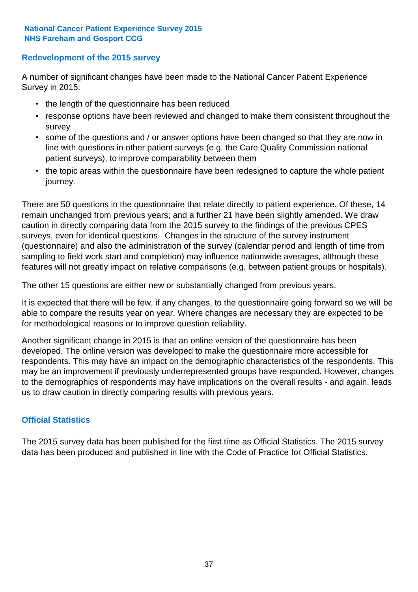### **Redevelopment of the 2015 survey**

A number of significant changes have been made to the National Cancer Patient Experience Survey in 2015:

- the length of the questionnaire has been reduced
- response options have been reviewed and changed to make them consistent throughout the survey
- some of the questions and / or answer options have been changed so that they are now in line with questions in other patient surveys (e.g. the Care Quality Commission national patient surveys), to improve comparability between them
- the topic areas within the questionnaire have been redesigned to capture the whole patient journey.

There are 50 questions in the questionnaire that relate directly to patient experience. Of these, 14 remain unchanged from previous years; and a further 21 have been slightly amended. We draw caution in directly comparing data from the 2015 survey to the findings of the previous CPES surveys, even for identical questions. Changes in the structure of the survey instrument (questionnaire) and also the administration of the survey (calendar period and length of time from sampling to field work start and completion) may influence nationwide averages, although these features will not greatly impact on relative comparisons (e.g. between patient groups or hospitals).

The other 15 questions are either new or substantially changed from previous years.

It is expected that there will be few, if any changes, to the questionnaire going forward so we will be able to compare the results year on year. Where changes are necessary they are expected to be for methodological reasons or to improve question reliability.

Another significant change in 2015 is that an online version of the questionnaire has been developed. The online version was developed to make the questionnaire more accessible for respondents. This may have an impact on the demographic characteristics of the respondents. This may be an improvement if previously underrepresented groups have responded. However, changes to the demographics of respondents may have implications on the overall results - and again, leads us to draw caution in directly comparing results with previous years.

### **Official Statistics**

The 2015 survey data has been published for the first time as Official Statistics. The 2015 survey data has been produced and published in line with the Code of Practice for Official Statistics.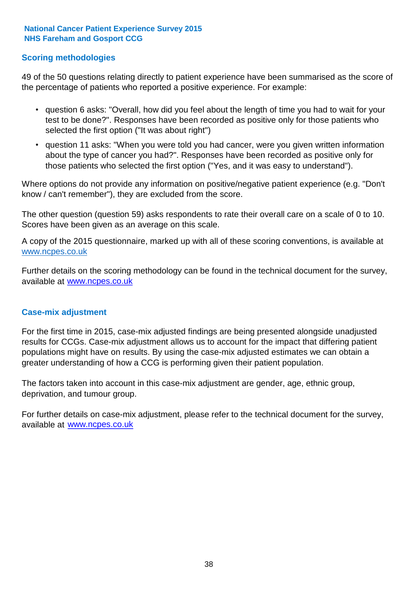### **Scoring methodologies**

49 of the 50 questions relating directly to patient experience have been summarised as the score of the percentage of patients who reported a positive experience. For example:

- question 6 asks: "Overall, how did you feel about the length of time you had to wait for your test to be done?". Responses have been recorded as positive only for those patients who selected the first option ("It was about right")
- question 11 asks: "When you were told you had cancer, were you given written information about the type of cancer you had?". Responses have been recorded as positive only for those patients who selected the first option ("Yes, and it was easy to understand").

Where options do not provide any information on positive/negative patient experience (e.g. "Don't know / can't remember"), they are excluded from the score.

The other question (question 59) asks respondents to rate their overall care on a scale of 0 to 10. Scores have been given as an average on this scale.

A copy of the 2015 questionnaire, marked up with all of these scoring conventions, is available at www.ncpes.co.uk

Further details on the scoring methodology can be found in the technical document for the survey, available at <u>www.ncpes.co.uk</u>

#### **Case-mix adjustment**

For the first time in 2015, case-mix adjusted findings are being presented alongside unadjusted results for CCGs. Case-mix adjustment allows us to account for the impact that differing patient populations might have on results. By using the case-mix adjusted estimates we can obtain a greater understanding of how a CCG is performing given their patient population.

The factors taken into account in this case-mix adjustment are gender, age, ethnic group, deprivation, and tumour group.

For further details on case-mix adjustment, please refer to the technical document for the survey, available at www.ncpes.co.uk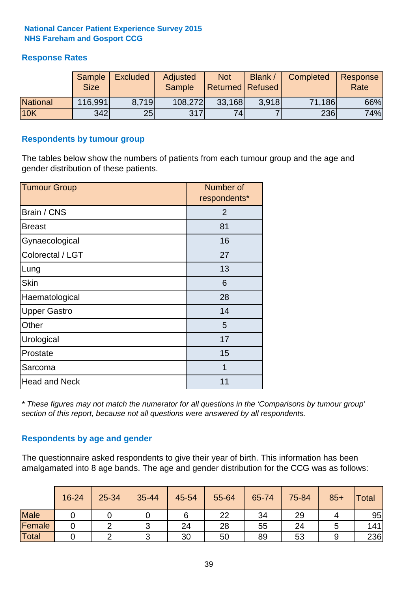# **Response Rates**

|                 | Sample<br><b>Size</b> | <b>Excluded</b> | Adjusted<br><b>Sample</b> | <b>Not</b><br><b>Returned Refused</b> | Blank / | Completed | Response<br>Rate |
|-----------------|-----------------------|-----------------|---------------------------|---------------------------------------|---------|-----------|------------------|
| <b>National</b> | 116,991               | 8.719           | 108,272                   | 33,168                                | 3.918   | 71,186    | 66%              |
| <b>10K</b>      | 342                   | 25              | 317                       | 74                                    |         | 236       | 74%              |

#### **Respondents by tumour group**

The tables below show the numbers of patients from each tumour group and the age and gender distribution of these patients.

| <b>Tumour Group</b>  | Number of<br>respondents* |
|----------------------|---------------------------|
| Brain / CNS          | $\overline{2}$            |
| <b>Breast</b>        | 81                        |
| Gynaecological       | 16                        |
| Colorectal / LGT     | 27                        |
| Lung                 | 13                        |
| <b>Skin</b>          | 6                         |
| Haematological       | 28                        |
| <b>Upper Gastro</b>  | 14                        |
| Other                | 5                         |
| Urological           | 17                        |
| Prostate             | 15                        |
| Sarcoma              | $\overline{1}$            |
| <b>Head and Neck</b> | 11                        |

*\* These figures may not match the numerator for all questions in the 'Comparisons by tumour group' section of this report, because not all questions were answered by all respondents.*

### **Respondents by age and gender**

The questionnaire asked respondents to give their year of birth. This information has been amalgamated into 8 age bands. The age and gender distribution for the CCG was as follows:

|             | 16-24 | 25-34 | 35-44 | 45-54 | 55-64 | 65-74 | 75-84 | $85+$ | <b>Total</b> |
|-------------|-------|-------|-------|-------|-------|-------|-------|-------|--------------|
| <b>Male</b> |       |       |       |       | 22    | 34    | 29    |       | 95           |
| Female      |       |       |       | 24    | 28    | 55    | 24    |       | 141          |
| Total       |       |       |       | 30    | 50    | 89    | 53    |       | 236          |